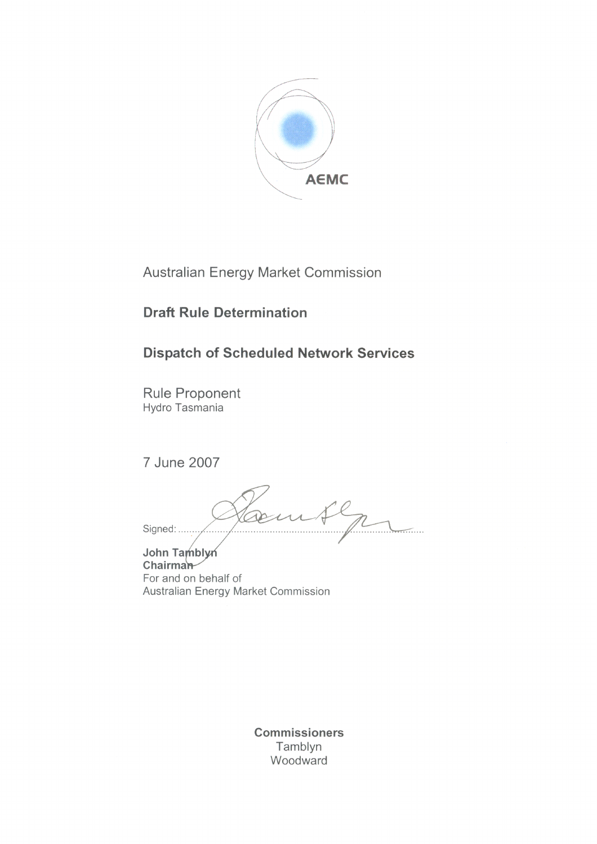

Australian Energy Market Commission

# **Draft Rule Determination**

# **Dispatch of Scheduled Network Services**

Rule Proponent Hydro Tasmania

7 June 2007

Signed: ......

John Tamblyn Chairman For and on behalf of Australian Energy Market Commission

> **Commissioners** Tamblyn Woodward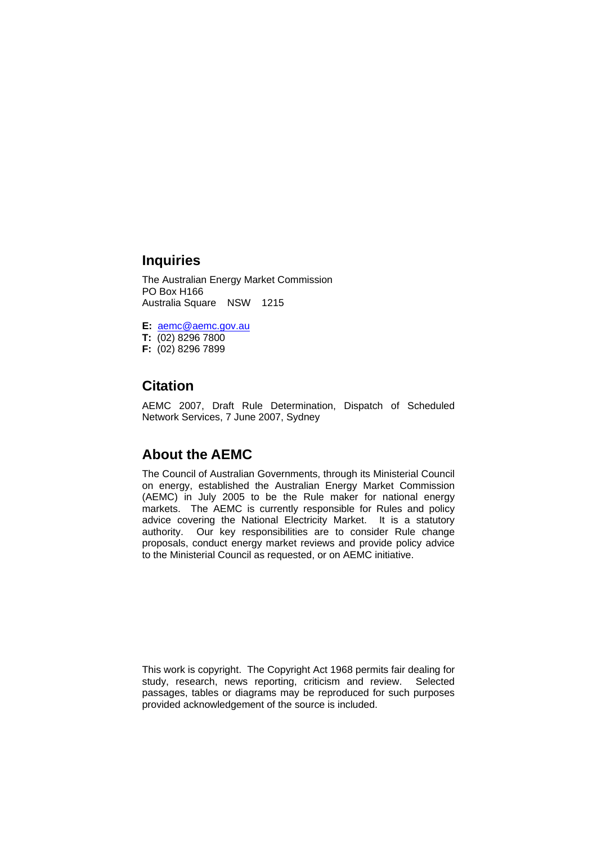# **Inquiries**

The Australian Energy Market Commission PO Box H166 Australia Square NSW 1215

**E:** aemc@aemc.gov.au **T:** (02) 8296 7800

**F:** (02) 8296 7899

# **Citation**

AEMC 2007, Draft Rule Determination, Dispatch of Scheduled Network Services, 7 June 2007, Sydney

# **About the AEMC**

The Council of Australian Governments, through its Ministerial Council on energy, established the Australian Energy Market Commission (AEMC) in July 2005 to be the Rule maker for national energy markets. The AEMC is currently responsible for Rules and policy advice covering the National Electricity Market. It is a statutory authority. Our key responsibilities are to consider Rule change proposals, conduct energy market reviews and provide policy advice to the Ministerial Council as requested, or on AEMC initiative.

This work is copyright. The Copyright Act 1968 permits fair dealing for study, research, news reporting, criticism and review. Selected passages, tables or diagrams may be reproduced for such purposes provided acknowledgement of the source is included.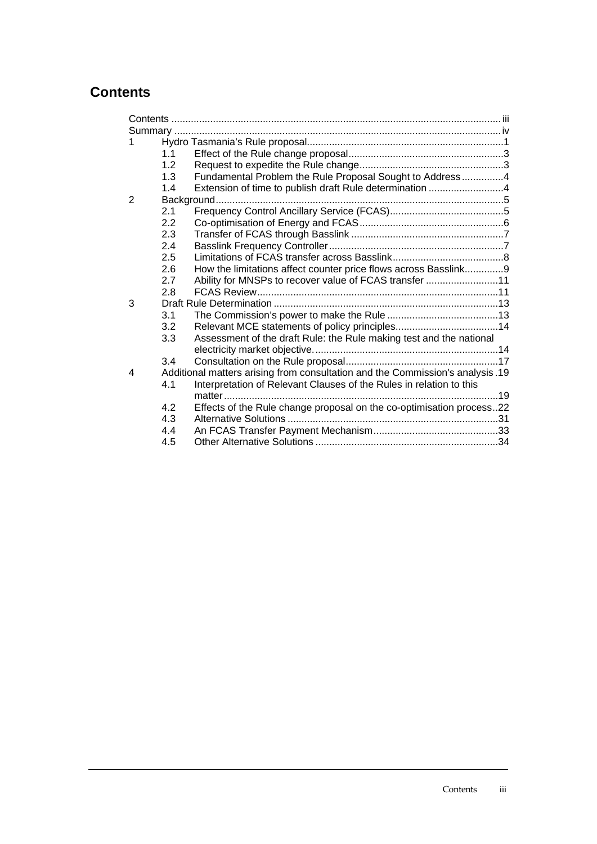# **Contents**

|   | 1.1 |                                                                                |  |  |
|---|-----|--------------------------------------------------------------------------------|--|--|
|   | 1.2 |                                                                                |  |  |
|   | 1.3 | Fundamental Problem the Rule Proposal Sought to Address4                       |  |  |
|   | 1.4 | Extension of time to publish draft Rule determination 4                        |  |  |
| 2 |     |                                                                                |  |  |
|   | 2.1 |                                                                                |  |  |
|   | 2.2 |                                                                                |  |  |
|   | 2.3 |                                                                                |  |  |
|   | 2.4 |                                                                                |  |  |
|   | 2.5 |                                                                                |  |  |
|   | 2.6 | How the limitations affect counter price flows across Basslink9                |  |  |
|   | 2.7 | Ability for MNSPs to recover value of FCAS transfer 11                         |  |  |
|   | 2.8 |                                                                                |  |  |
| 3 |     |                                                                                |  |  |
|   | 3.1 |                                                                                |  |  |
|   | 3.2 |                                                                                |  |  |
|   | 3.3 | Assessment of the draft Rule: the Rule making test and the national            |  |  |
|   |     |                                                                                |  |  |
|   | 3.4 |                                                                                |  |  |
| 4 |     | Additional matters arising from consultation and the Commission's analysis .19 |  |  |
|   | 4.1 | Interpretation of Relevant Clauses of the Rules in relation to this            |  |  |
|   |     |                                                                                |  |  |
|   | 4.2 | Effects of the Rule change proposal on the co-optimisation process22           |  |  |
|   | 4.3 |                                                                                |  |  |
|   | 4.4 |                                                                                |  |  |
|   | 4.5 |                                                                                |  |  |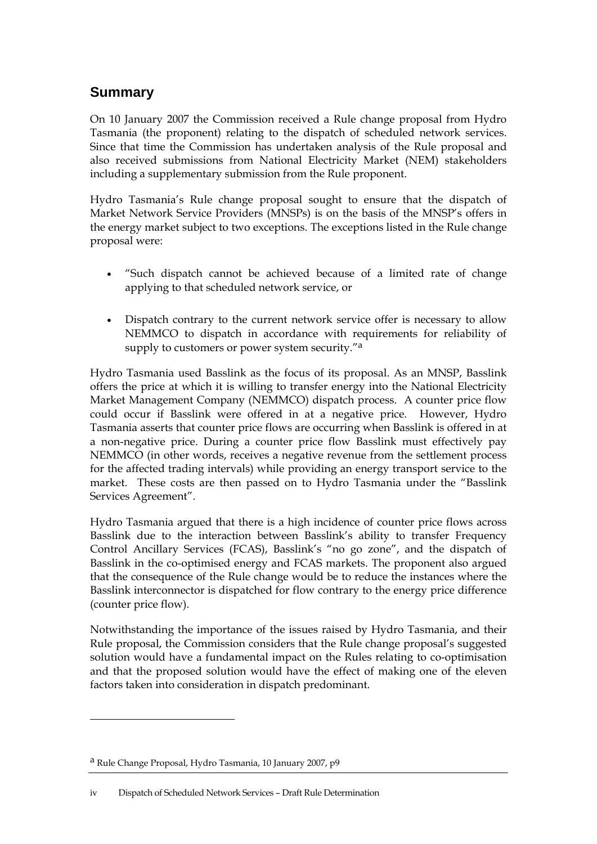# **Summary**

On 10 January 2007 the Commission received a Rule change proposal from Hydro Tasmania (the proponent) relating to the dispatch of scheduled network services. Since that time the Commission has undertaken analysis of the Rule proposal and also received submissions from National Electricity Market (NEM) stakeholders including a supplementary submission from the Rule proponent.

Hydro Tasmania's Rule change proposal sought to ensure that the dispatch of Market Network Service Providers (MNSPs) is on the basis of the MNSP's offers in the energy market subject to two exceptions. The exceptions listed in the Rule change proposal were:

- "Such dispatch cannot be achieved because of a limited rate of change applying to that scheduled network service, or
- Dispatch contrary to the current network service offer is necessary to allow NEMMCO to dispatch in accordance with requirements for reliability of supply to customers or power system security."<sup>a</sup>

Hydro Tasmania used Basslink as the focus of its proposal. As an MNSP, Basslink offers the price at which it is willing to transfer energy into the National Electricity Market Management Company (NEMMCO) dispatch process. A counter price flow could occur if Basslink were offered in at a negative price. However, Hydro Tasmania asserts that counter price flows are occurring when Basslink is offered in at a non-negative price. During a counter price flow Basslink must effectively pay NEMMCO (in other words, receives a negative revenue from the settlement process for the affected trading intervals) while providing an energy transport service to the market. These costs are then passed on to Hydro Tasmania under the "Basslink Services Agreement".

Hydro Tasmania argued that there is a high incidence of counter price flows across Basslink due to the interaction between Basslink's ability to transfer Frequency Control Ancillary Services (FCAS), Basslink's "no go zone", and the dispatch of Basslink in the co-optimised energy and FCAS markets. The proponent also argued that the consequence of the Rule change would be to reduce the instances where the Basslink interconnector is dispatched for flow contrary to the energy price difference (counter price flow).

Notwithstanding the importance of the issues raised by Hydro Tasmania, and their Rule proposal, the Commission considers that the Rule change proposal's suggested solution would have a fundamental impact on the Rules relating to co-optimisation and that the proposed solution would have the effect of making one of the eleven factors taken into consideration in dispatch predominant.

a Rule Change Proposal, Hydro Tasmania, 10 January 2007, p9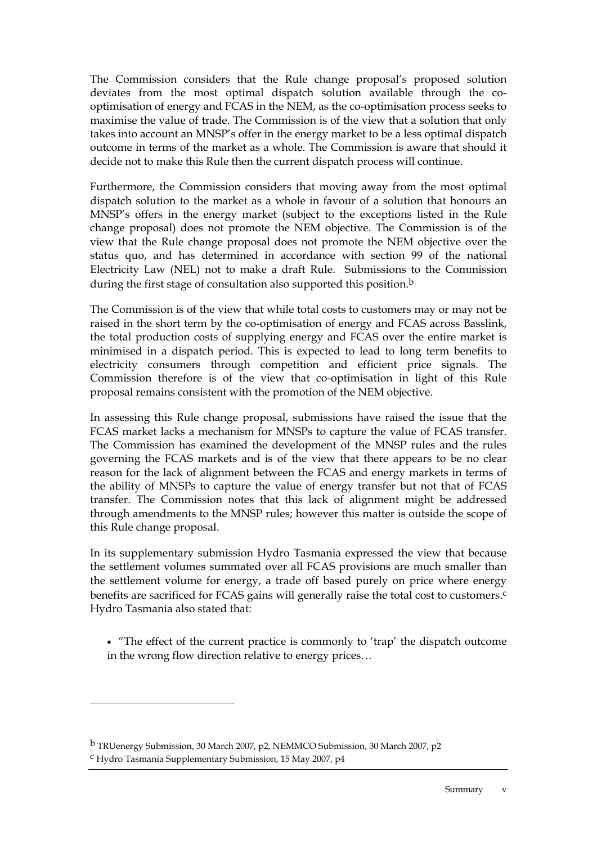The Commission considers that the Rule change proposal's proposed solution deviates from the most optimal dispatch solution available through the cooptimisation of energy and FCAS in the NEM, as the co-optimisation process seeks to maximise the value of trade. The Commission is of the view that a solution that only takes into account an MNSP's offer in the energy market to be a less optimal dispatch outcome in terms of the market as a whole. The Commission is aware that should it decide not to make this Rule then the current dispatch process will continue.

Furthermore, the Commission considers that moving away from the most optimal dispatch solution to the market as a whole in favour of a solution that honours an MNSP's offers in the energy market (subject to the exceptions listed in the Rule change proposal) does not promote the NEM objective. The Commission is of the view that the Rule change proposal does not promote the NEM objective over the status quo, and has determined in accordance with section 99 of the national Electricity Law (NEL) not to make a draft Rule. Submissions to the Commission during the first stage of consultation also supported this position.<sup>b</sup>

The Commission is of the view that while total costs to customers may or may not be raised in the short term by the co-optimisation of energy and FCAS across Basslink, the total production costs of supplying energy and FCAS over the entire market is minimised in a dispatch period. This is expected to lead to long term benefits to electricity consumers through competition and efficient price signals. The Commission therefore is of the view that co-optimisation in light of this Rule proposal remains consistent with the promotion of the NEM objective.

In assessing this Rule change proposal, submissions have raised the issue that the FCAS market lacks a mechanism for MNSPs to capture the value of FCAS transfer. The Commission has examined the development of the MNSP rules and the rules governing the FCAS markets and is of the view that there appears to be no clear reason for the lack of alignment between the FCAS and energy markets in terms of the ability of MNSPs to capture the value of energy transfer but not that of FCAS transfer. The Commission notes that this lack of alignment might be addressed through amendments to the MNSP rules; however this matter is outside the scope of this Rule change proposal.

In its supplementary submission Hydro Tasmania expressed the view that because the settlement volumes summated over all FCAS provisions are much smaller than the settlement volume for energy, a trade off based purely on price where energy benefits are sacrificed for FCAS gains will generally raise the total cost to customers.<sup>c</sup> Hydro Tasmania also stated that:

• "The effect of the current practice is commonly to 'trap' the dispatch outcome in the wrong flow direction relative to energy prices…

b TRUenergy Submission, 30 March 2007, p2, NEMMCO Submission, 30 March 2007, p2 c Hydro Tasmania Supplementary Submission, 15 May 2007, p4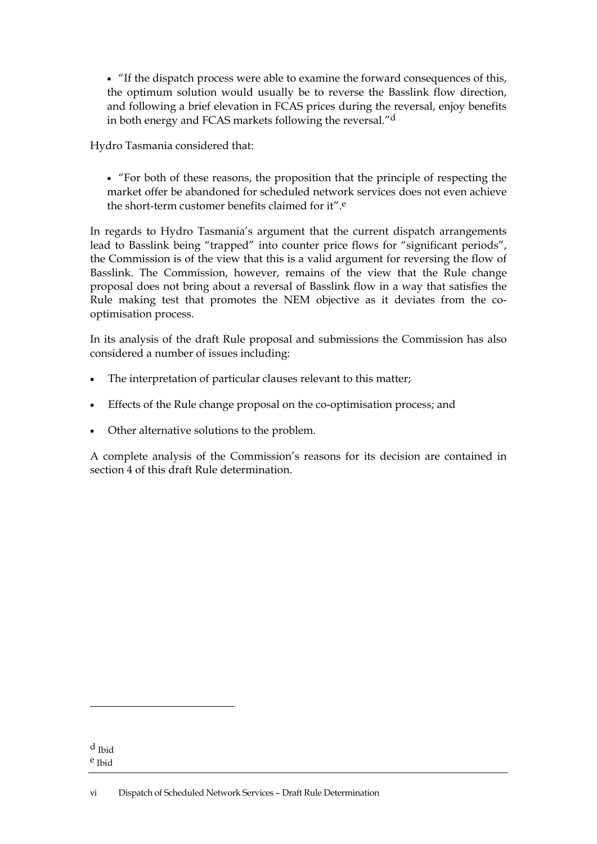• "If the dispatch process were able to examine the forward consequences of this, the optimum solution would usually be to reverse the Basslink flow direction, and following a brief elevation in FCAS prices during the reversal, enjoy benefits in both energy and FCAS markets following the reversal."d

Hydro Tasmania considered that:

• "For both of these reasons, the proposition that the principle of respecting the market offer be abandoned for scheduled network services does not even achieve the short-term customer benefits claimed for  $i^{n}$ <sup>e</sup>.

In regards to Hydro Tasmania's argument that the current dispatch arrangements lead to Basslink being "trapped" into counter price flows for "significant periods", the Commission is of the view that this is a valid argument for reversing the flow of Basslink. The Commission, however, remains of the view that the Rule change proposal does not bring about a reversal of Basslink flow in a way that satisfies the Rule making test that promotes the NEM objective as it deviates from the cooptimisation process.

In its analysis of the draft Rule proposal and submissions the Commission has also considered a number of issues including:

- The interpretation of particular clauses relevant to this matter;
- Effects of the Rule change proposal on the co-optimisation process; and
- Other alternative solutions to the problem.

A complete analysis of the Commission's reasons for its decision are contained in section 4 of this draft Rule determination.

d Ibid e Ibid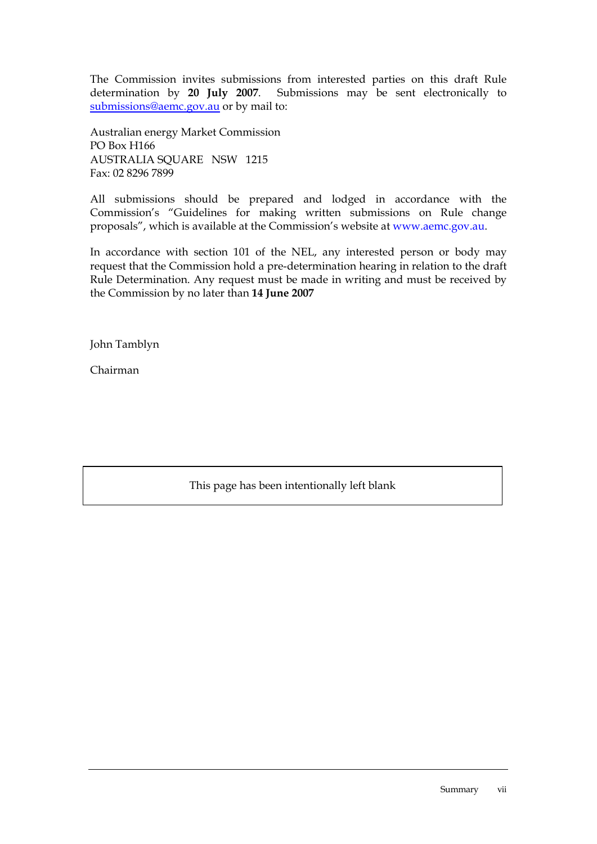The Commission invites submissions from interested parties on this draft Rule determination by **20 July 2007**. Submissions may be sent electronically to submissions@aemc.gov.au or by mail to:

Australian energy Market Commission PO Box H166 AUSTRALIA SQUARE NSW 1215 Fax: 02 8296 7899

All submissions should be prepared and lodged in accordance with the Commission's "Guidelines for making written submissions on Rule change proposals", which is available at the Commission's website at www.aemc.gov.au.

In accordance with section 101 of the NEL, any interested person or body may request that the Commission hold a pre-determination hearing in relation to the draft Rule Determination. Any request must be made in writing and must be received by the Commission by no later than **14 June 2007** 

John Tamblyn

Chairman

This page has been intentionally left blank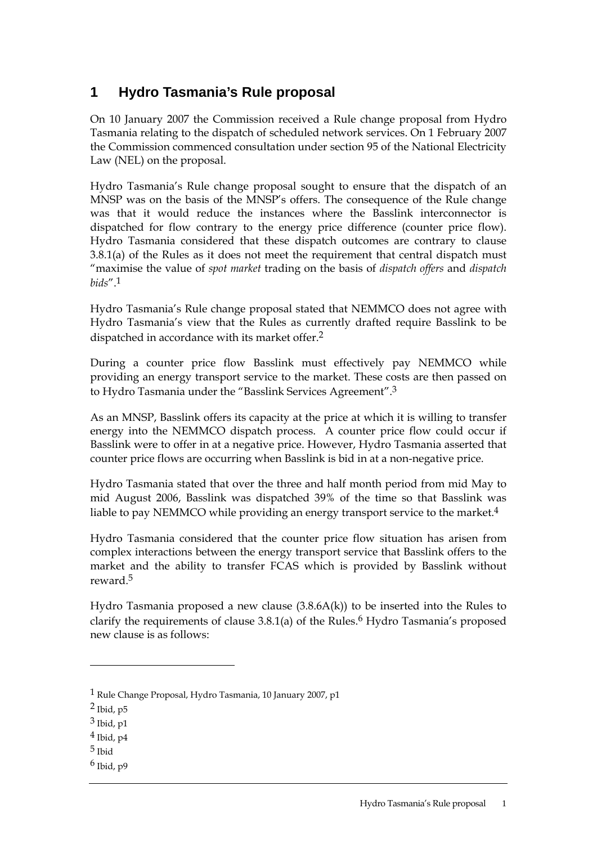# **1 Hydro Tasmania's Rule proposal**

On 10 January 2007 the Commission received a Rule change proposal from Hydro Tasmania relating to the dispatch of scheduled network services. On 1 February 2007 the Commission commenced consultation under section 95 of the National Electricity Law (NEL) on the proposal.

Hydro Tasmania's Rule change proposal sought to ensure that the dispatch of an MNSP was on the basis of the MNSP's offers. The consequence of the Rule change was that it would reduce the instances where the Basslink interconnector is dispatched for flow contrary to the energy price difference (counter price flow). Hydro Tasmania considered that these dispatch outcomes are contrary to clause 3.8.1(a) of the Rules as it does not meet the requirement that central dispatch must "maximise the value of *spot market* trading on the basis of *dispatch offers* and *dispatch bids*".1

Hydro Tasmania's Rule change proposal stated that NEMMCO does not agree with Hydro Tasmania's view that the Rules as currently drafted require Basslink to be dispatched in accordance with its market offer.2

During a counter price flow Basslink must effectively pay NEMMCO while providing an energy transport service to the market. These costs are then passed on to Hydro Tasmania under the "Basslink Services Agreement".3

As an MNSP, Basslink offers its capacity at the price at which it is willing to transfer energy into the NEMMCO dispatch process. A counter price flow could occur if Basslink were to offer in at a negative price. However, Hydro Tasmania asserted that counter price flows are occurring when Basslink is bid in at a non-negative price.

Hydro Tasmania stated that over the three and half month period from mid May to mid August 2006, Basslink was dispatched 39% of the time so that Basslink was liable to pay NEMMCO while providing an energy transport service to the market.<sup>4</sup>

Hydro Tasmania considered that the counter price flow situation has arisen from complex interactions between the energy transport service that Basslink offers to the market and the ability to transfer FCAS which is provided by Basslink without reward<sup>5</sup>

Hydro Tasmania proposed a new clause  $(3.8.6A(k))$  to be inserted into the Rules to clarify the requirements of clause  $3.8.1(a)$  of the Rules.<sup>6</sup> Hydro Tasmania's proposed new clause is as follows:

- $4$  Ibid, p4
- 5 Ibid
- $6$  Ibid, p9

<sup>1</sup> Rule Change Proposal, Hydro Tasmania, 10 January 2007, p1

 $2$  Ibid,  $p5$ 

 $3$  Ibid, p1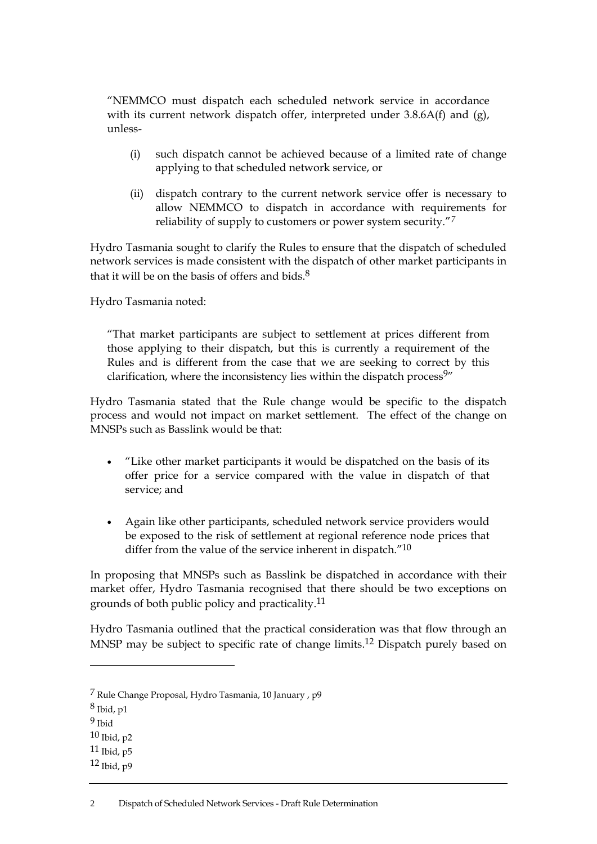"NEMMCO must dispatch each scheduled network service in accordance with its current network dispatch offer, interpreted under  $3.8.6A(f)$  and  $(g)$ , unless-

- (i) such dispatch cannot be achieved because of a limited rate of change applying to that scheduled network service, or
- (ii) dispatch contrary to the current network service offer is necessary to allow NEMMCO to dispatch in accordance with requirements for reliability of supply to customers or power system security."*7*

Hydro Tasmania sought to clarify the Rules to ensure that the dispatch of scheduled network services is made consistent with the dispatch of other market participants in that it will be on the basis of offers and bids.<sup>8</sup>

Hydro Tasmania noted:

"That market participants are subject to settlement at prices different from those applying to their dispatch, but this is currently a requirement of the Rules and is different from the case that we are seeking to correct by this clarification, where the inconsistency lies within the dispatch process<sup>9"</sup>

Hydro Tasmania stated that the Rule change would be specific to the dispatch process and would not impact on market settlement. The effect of the change on MNSPs such as Basslink would be that:

- "Like other market participants it would be dispatched on the basis of its offer price for a service compared with the value in dispatch of that service; and
- Again like other participants, scheduled network service providers would be exposed to the risk of settlement at regional reference node prices that differ from the value of the service inherent in dispatch."10

In proposing that MNSPs such as Basslink be dispatched in accordance with their market offer, Hydro Tasmania recognised that there should be two exceptions on grounds of both public policy and practicality.11

Hydro Tasmania outlined that the practical consideration was that flow through an MNSP may be subject to specific rate of change limits.12 Dispatch purely based on

- 8 Ibid, p1
- $9$  Ibid

- $10$  Ibid, p2
- 11 Ibid, p5
- $12$  Ibid,  $p9$

<sup>7</sup> Rule Change Proposal, Hydro Tasmania, 10 January , p9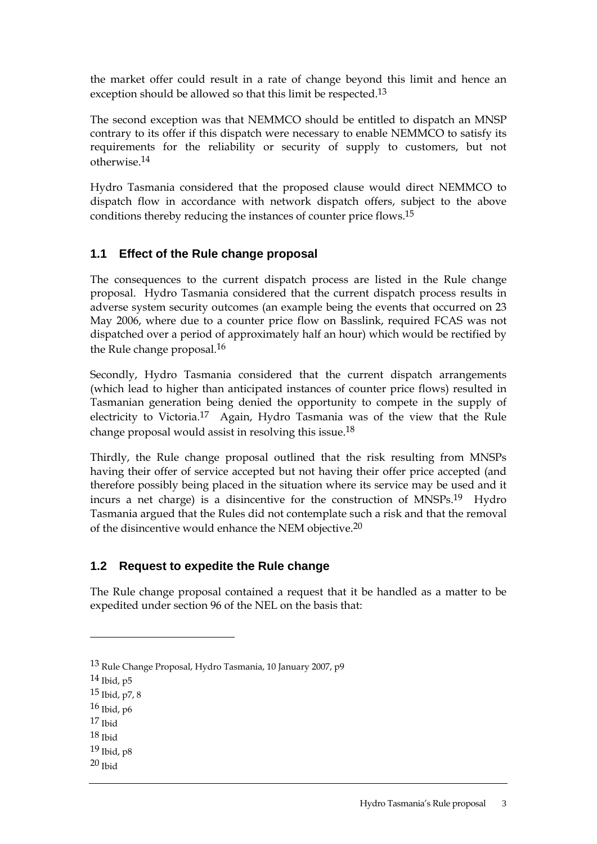the market offer could result in a rate of change beyond this limit and hence an exception should be allowed so that this limit be respected.13

The second exception was that NEMMCO should be entitled to dispatch an MNSP contrary to its offer if this dispatch were necessary to enable NEMMCO to satisfy its requirements for the reliability or security of supply to customers, but not otherwise.14

Hydro Tasmania considered that the proposed clause would direct NEMMCO to dispatch flow in accordance with network dispatch offers, subject to the above conditions thereby reducing the instances of counter price flows.15

### **1.1 Effect of the Rule change proposal**

The consequences to the current dispatch process are listed in the Rule change proposal. Hydro Tasmania considered that the current dispatch process results in adverse system security outcomes (an example being the events that occurred on 23 May 2006, where due to a counter price flow on Basslink, required FCAS was not dispatched over a period of approximately half an hour) which would be rectified by the Rule change proposal.16

Secondly, Hydro Tasmania considered that the current dispatch arrangements (which lead to higher than anticipated instances of counter price flows) resulted in Tasmanian generation being denied the opportunity to compete in the supply of electricity to Victoria.17 Again, Hydro Tasmania was of the view that the Rule change proposal would assist in resolving this issue.18

Thirdly, the Rule change proposal outlined that the risk resulting from MNSPs having their offer of service accepted but not having their offer price accepted (and therefore possibly being placed in the situation where its service may be used and it incurs a net charge) is a disincentive for the construction of MNSPs.<sup>19</sup> Hydro Tasmania argued that the Rules did not contemplate such a risk and that the removal of the disincentive would enhance the NEM objective.20

### **1.2 Request to expedite the Rule change**

The Rule change proposal contained a request that it be handled as a matter to be expedited under section 96 of the NEL on the basis that:

- 18 Ibid
- 19 Ibid, p8  $20$  Ibid

<sup>13</sup> Rule Change Proposal, Hydro Tasmania, 10 January 2007, p9

<sup>14</sup> Ibid, p5

 $15$  Ibid, p7, 8

 $16$  Ibid, p6

 $17$  Ibid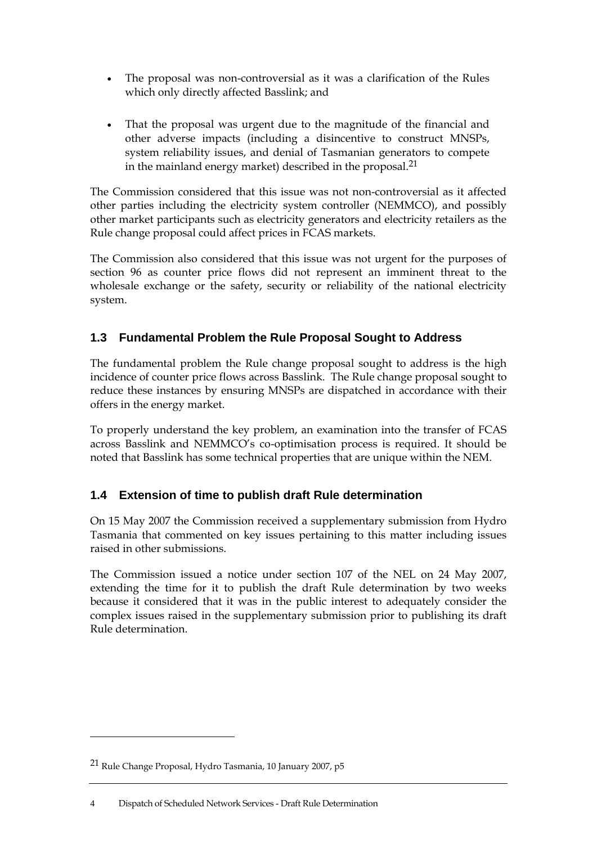- The proposal was non-controversial as it was a clarification of the Rules which only directly affected Basslink; and
- That the proposal was urgent due to the magnitude of the financial and other adverse impacts (including a disincentive to construct MNSPs, system reliability issues, and denial of Tasmanian generators to compete in the mainland energy market) described in the proposal.21

The Commission considered that this issue was not non-controversial as it affected other parties including the electricity system controller (NEMMCO), and possibly other market participants such as electricity generators and electricity retailers as the Rule change proposal could affect prices in FCAS markets.

The Commission also considered that this issue was not urgent for the purposes of section 96 as counter price flows did not represent an imminent threat to the wholesale exchange or the safety, security or reliability of the national electricity system.

# **1.3 Fundamental Problem the Rule Proposal Sought to Address**

The fundamental problem the Rule change proposal sought to address is the high incidence of counter price flows across Basslink. The Rule change proposal sought to reduce these instances by ensuring MNSPs are dispatched in accordance with their offers in the energy market.

To properly understand the key problem, an examination into the transfer of FCAS across Basslink and NEMMCO's co-optimisation process is required. It should be noted that Basslink has some technical properties that are unique within the NEM.

# **1.4 Extension of time to publish draft Rule determination**

On 15 May 2007 the Commission received a supplementary submission from Hydro Tasmania that commented on key issues pertaining to this matter including issues raised in other submissions.

The Commission issued a notice under section 107 of the NEL on 24 May 2007, extending the time for it to publish the draft Rule determination by two weeks because it considered that it was in the public interest to adequately consider the complex issues raised in the supplementary submission prior to publishing its draft Rule determination.

<sup>21</sup> Rule Change Proposal, Hydro Tasmania, 10 January 2007, p5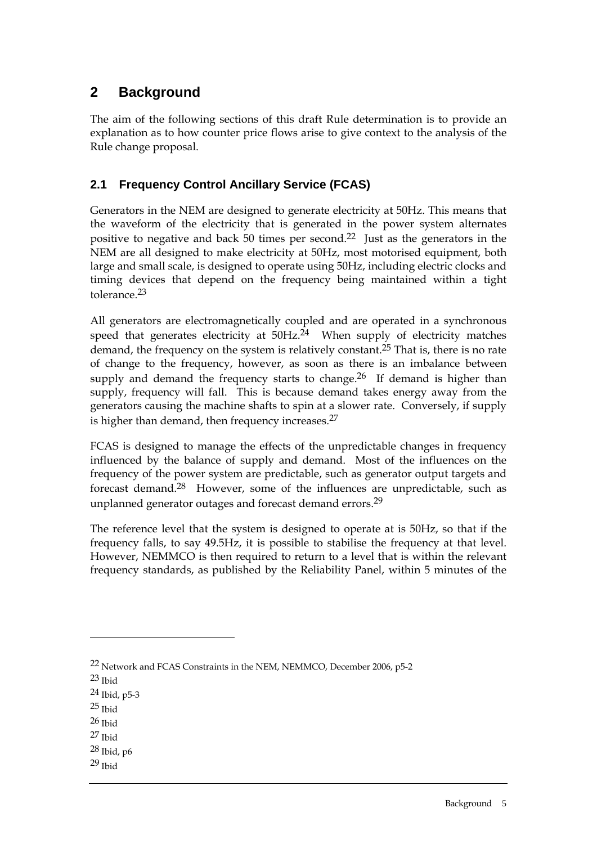# **2 Background**

The aim of the following sections of this draft Rule determination is to provide an explanation as to how counter price flows arise to give context to the analysis of the Rule change proposal.

# **2.1 Frequency Control Ancillary Service (FCAS)**

Generators in the NEM are designed to generate electricity at 50Hz. This means that the waveform of the electricity that is generated in the power system alternates positive to negative and back 50 times per second.22 Just as the generators in the NEM are all designed to make electricity at 50Hz, most motorised equipment, both large and small scale, is designed to operate using 50Hz, including electric clocks and timing devices that depend on the frequency being maintained within a tight tolerance<sup>23</sup>

All generators are electromagnetically coupled and are operated in a synchronous speed that generates electricity at 50Hz.<sup>24</sup> When supply of electricity matches demand, the frequency on the system is relatively constant.25 That is, there is no rate of change to the frequency, however, as soon as there is an imbalance between supply and demand the frequency starts to change.<sup>26</sup> If demand is higher than supply, frequency will fall. This is because demand takes energy away from the generators causing the machine shafts to spin at a slower rate. Conversely, if supply is higher than demand, then frequency increases.<sup>27</sup>

FCAS is designed to manage the effects of the unpredictable changes in frequency influenced by the balance of supply and demand. Most of the influences on the frequency of the power system are predictable, such as generator output targets and forecast demand.28 However, some of the influences are unpredictable, such as unplanned generator outages and forecast demand errors.29

The reference level that the system is designed to operate at is 50Hz, so that if the frequency falls, to say 49.5Hz, it is possible to stabilise the frequency at that level. However, NEMMCO is then required to return to a level that is within the relevant frequency standards, as published by the Reliability Panel, within 5 minutes of the

- 24 Ibid, p5-3
- $25$  Ibid
- $26$  Ibid
- 27 Ibid
- 28 Ibid, p6
- $29$  Ibid

<sup>22</sup> Network and FCAS Constraints in the NEM, NEMMCO, December 2006, p5-2

 $23$  Ibid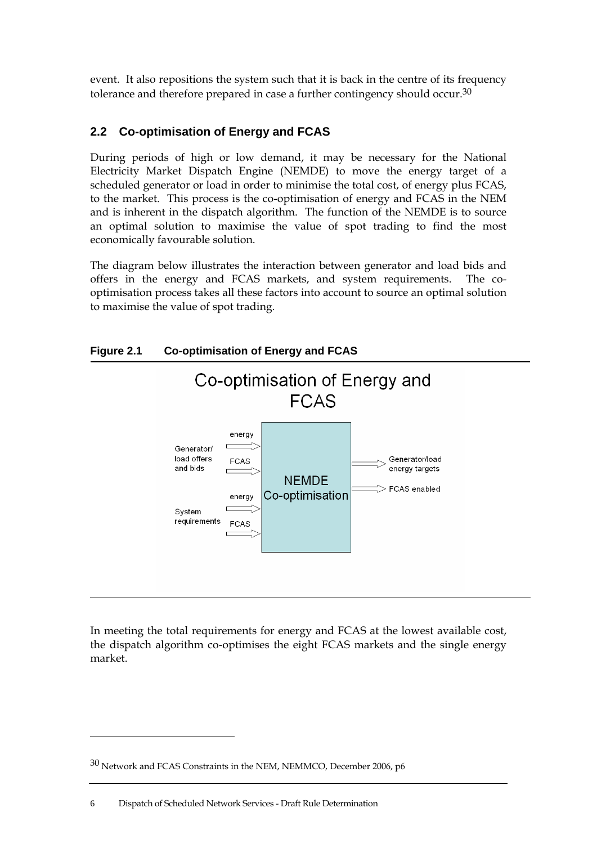event. It also repositions the system such that it is back in the centre of its frequency tolerance and therefore prepared in case a further contingency should occur.<sup>30</sup>

# **2.2 Co-optimisation of Energy and FCAS**

During periods of high or low demand, it may be necessary for the National Electricity Market Dispatch Engine (NEMDE) to move the energy target of a scheduled generator or load in order to minimise the total cost, of energy plus FCAS, to the market. This process is the co-optimisation of energy and FCAS in the NEM and is inherent in the dispatch algorithm. The function of the NEMDE is to source an optimal solution to maximise the value of spot trading to find the most economically favourable solution.

The diagram below illustrates the interaction between generator and load bids and offers in the energy and FCAS markets, and system requirements. The cooptimisation process takes all these factors into account to source an optimal solution to maximise the value of spot trading.



**Figure 2.1 Co-optimisation of Energy and FCAS** 

In meeting the total requirements for energy and FCAS at the lowest available cost, the dispatch algorithm co-optimises the eight FCAS markets and the single energy market.

<sup>30</sup> Network and FCAS Constraints in the NEM, NEMMCO, December 2006, p6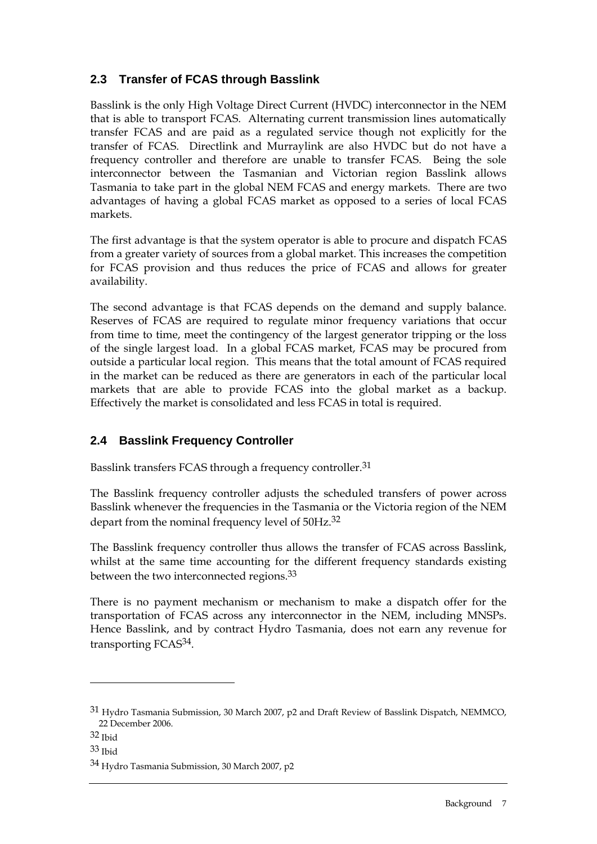## **2.3 Transfer of FCAS through Basslink**

Basslink is the only High Voltage Direct Current (HVDC) interconnector in the NEM that is able to transport FCAS. Alternating current transmission lines automatically transfer FCAS and are paid as a regulated service though not explicitly for the transfer of FCAS. Directlink and Murraylink are also HVDC but do not have a frequency controller and therefore are unable to transfer FCAS. Being the sole interconnector between the Tasmanian and Victorian region Basslink allows Tasmania to take part in the global NEM FCAS and energy markets. There are two advantages of having a global FCAS market as opposed to a series of local FCAS markets.

The first advantage is that the system operator is able to procure and dispatch FCAS from a greater variety of sources from a global market. This increases the competition for FCAS provision and thus reduces the price of FCAS and allows for greater availability.

The second advantage is that FCAS depends on the demand and supply balance. Reserves of FCAS are required to regulate minor frequency variations that occur from time to time, meet the contingency of the largest generator tripping or the loss of the single largest load. In a global FCAS market, FCAS may be procured from outside a particular local region. This means that the total amount of FCAS required in the market can be reduced as there are generators in each of the particular local markets that are able to provide FCAS into the global market as a backup. Effectively the market is consolidated and less FCAS in total is required.

### **2.4 Basslink Frequency Controller**

Basslink transfers FCAS through a frequency controller.31

The Basslink frequency controller adjusts the scheduled transfers of power across Basslink whenever the frequencies in the Tasmania or the Victoria region of the NEM depart from the nominal frequency level of 50Hz.32

The Basslink frequency controller thus allows the transfer of FCAS across Basslink, whilst at the same time accounting for the different frequency standards existing between the two interconnected regions.33

There is no payment mechanism or mechanism to make a dispatch offer for the transportation of FCAS across any interconnector in the NEM, including MNSPs. Hence Basslink, and by contract Hydro Tasmania, does not earn any revenue for transporting FCAS34.

<sup>31</sup> Hydro Tasmania Submission, 30 March 2007, p2 and Draft Review of Basslink Dispatch, NEMMCO, 22 December 2006.

<sup>32</sup> Ibid

<sup>33</sup> Ibid

<sup>34</sup> Hydro Tasmania Submission, 30 March 2007, p2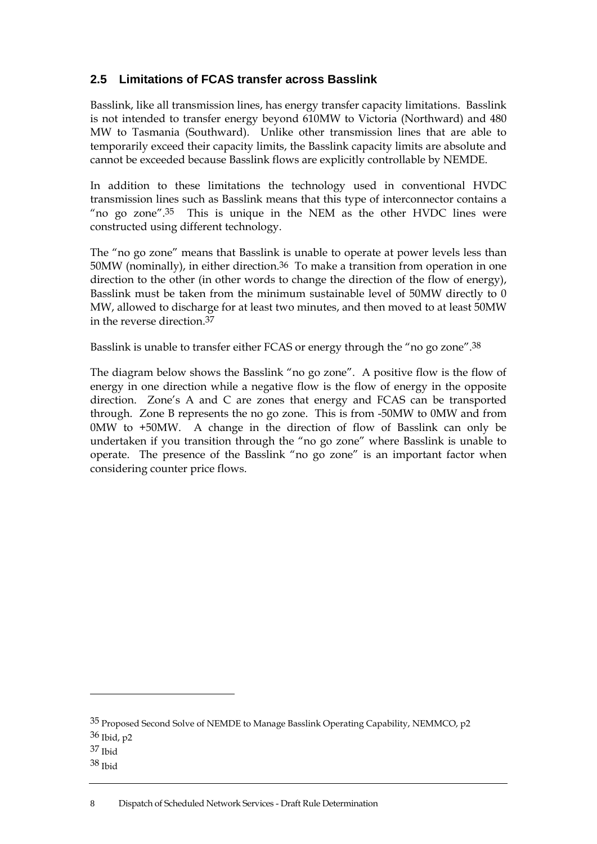### **2.5 Limitations of FCAS transfer across Basslink**

Basslink, like all transmission lines, has energy transfer capacity limitations. Basslink is not intended to transfer energy beyond 610MW to Victoria (Northward) and 480 MW to Tasmania (Southward). Unlike other transmission lines that are able to temporarily exceed their capacity limits, the Basslink capacity limits are absolute and cannot be exceeded because Basslink flows are explicitly controllable by NEMDE.

In addition to these limitations the technology used in conventional HVDC transmission lines such as Basslink means that this type of interconnector contains a "no go zone". $35$  This is unique in the NEM as the other HVDC lines were constructed using different technology.

The "no go zone" means that Basslink is unable to operate at power levels less than 50MW (nominally), in either direction.36 To make a transition from operation in one direction to the other (in other words to change the direction of the flow of energy), Basslink must be taken from the minimum sustainable level of 50MW directly to 0 MW, allowed to discharge for at least two minutes, and then moved to at least 50MW in the reverse direction.37

Basslink is unable to transfer either FCAS or energy through the "no go zone".38

The diagram below shows the Basslink "no go zone". A positive flow is the flow of energy in one direction while a negative flow is the flow of energy in the opposite direction. Zone's A and C are zones that energy and FCAS can be transported through. Zone B represents the no go zone. This is from -50MW to 0MW and from 0MW to +50MW. A change in the direction of flow of Basslink can only be undertaken if you transition through the "no go zone" where Basslink is unable to operate. The presence of the Basslink "no go zone" is an important factor when considering counter price flows.

<sup>35</sup> Proposed Second Solve of NEMDE to Manage Basslink Operating Capability, NEMMCO, p2

<sup>36</sup> Ibid, p2

<sup>37</sup> Ibid

<sup>38</sup> Ibid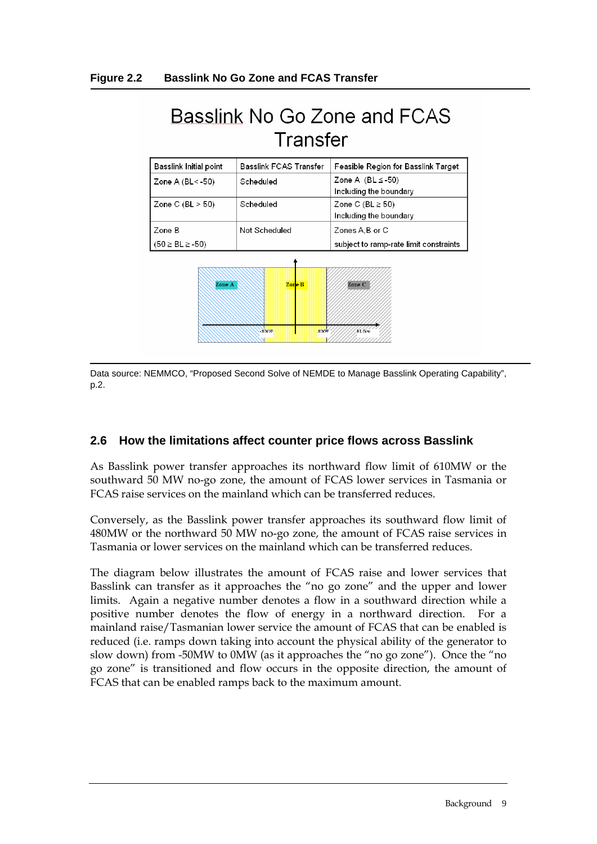# Basslink No Go Zone and FCAS **Transfer**

| Basslink Initial point            | <b>Basslink FCAS Transfer</b> | Feasible Region for Basslink Target                       |
|-----------------------------------|-------------------------------|-----------------------------------------------------------|
| Zone A $(BL < -50)$               | Scheduled                     | Zone A $(BL \le -50)$<br>Including the boundary           |
| Zone C $(BL > 50)$                | Scheduled                     | Zone C ( $BL \ge 50$ )<br>Including the boundary          |
| Zone B<br>$(50 \geq BL \geq -50)$ | Not Scheduled                 | Zones A, B or C<br>subject to ramp-rate limit constraints |



Data source: NEMMCO, "Proposed Second Solve of NEMDE to Manage Basslink Operating Capability", p.2.

#### **2.6 How the limitations affect counter price flows across Basslink**

As Basslink power transfer approaches its northward flow limit of 610MW or the southward 50 MW no-go zone, the amount of FCAS lower services in Tasmania or FCAS raise services on the mainland which can be transferred reduces.

Conversely, as the Basslink power transfer approaches its southward flow limit of 480MW or the northward 50 MW no-go zone, the amount of FCAS raise services in Tasmania or lower services on the mainland which can be transferred reduces.

The diagram below illustrates the amount of FCAS raise and lower services that Basslink can transfer as it approaches the "no go zone" and the upper and lower limits. Again a negative number denotes a flow in a southward direction while a positive number denotes the flow of energy in a northward direction. For a mainland raise/Tasmanian lower service the amount of FCAS that can be enabled is reduced (i.e. ramps down taking into account the physical ability of the generator to slow down) from -50MW to 0MW (as it approaches the "no go zone"). Once the "no go zone" is transitioned and flow occurs in the opposite direction, the amount of FCAS that can be enabled ramps back to the maximum amount.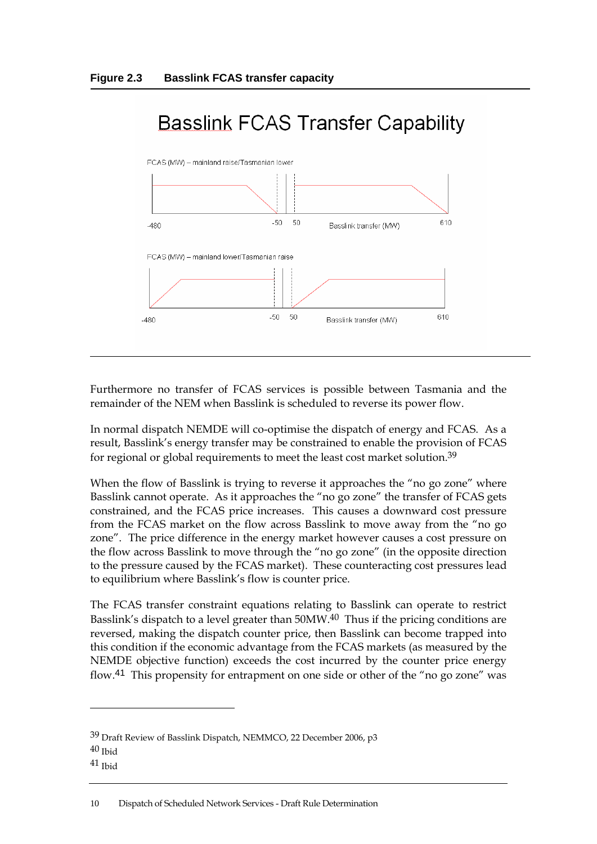

Furthermore no transfer of FCAS services is possible between Tasmania and the remainder of the NEM when Basslink is scheduled to reverse its power flow.

In normal dispatch NEMDE will co-optimise the dispatch of energy and FCAS. As a result, Basslink's energy transfer may be constrained to enable the provision of FCAS for regional or global requirements to meet the least cost market solution.39

When the flow of Basslink is trying to reverse it approaches the "no go zone" where Basslink cannot operate. As it approaches the "no go zone" the transfer of FCAS gets constrained, and the FCAS price increases. This causes a downward cost pressure from the FCAS market on the flow across Basslink to move away from the "no go zone". The price difference in the energy market however causes a cost pressure on the flow across Basslink to move through the "no go zone" (in the opposite direction to the pressure caused by the FCAS market). These counteracting cost pressures lead to equilibrium where Basslink's flow is counter price.

The FCAS transfer constraint equations relating to Basslink can operate to restrict Basslink's dispatch to a level greater than 50MW.40 Thus if the pricing conditions are reversed, making the dispatch counter price, then Basslink can become trapped into this condition if the economic advantage from the FCAS markets (as measured by the NEMDE objective function) exceeds the cost incurred by the counter price energy flow.41 This propensity for entrapment on one side or other of the "no go zone" was

<sup>39</sup> Draft Review of Basslink Dispatch, NEMMCO, 22 December 2006, p3 40 Ibid

<sup>41</sup> Ibid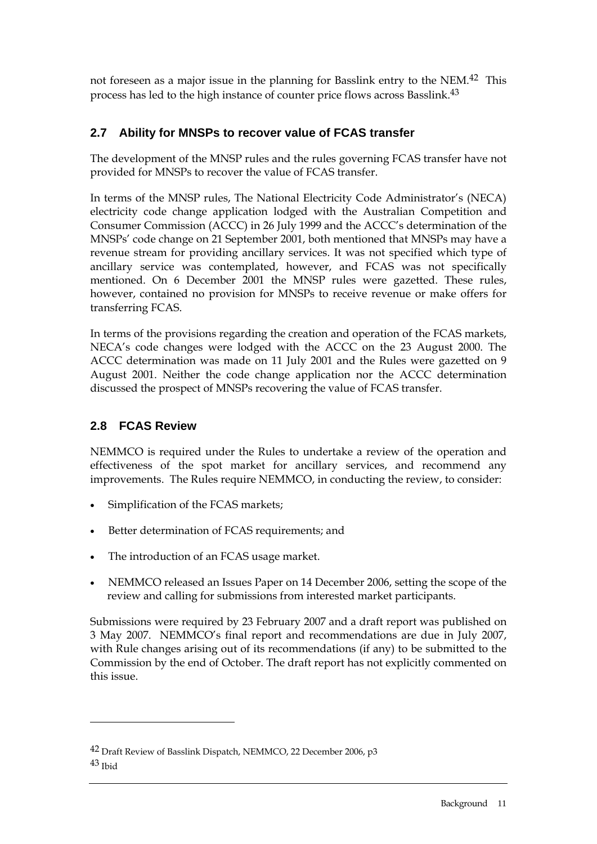not foreseen as a major issue in the planning for Basslink entry to the NEM.42 This process has led to the high instance of counter price flows across Basslink.43

### **2.7 Ability for MNSPs to recover value of FCAS transfer**

The development of the MNSP rules and the rules governing FCAS transfer have not provided for MNSPs to recover the value of FCAS transfer.

In terms of the MNSP rules, The National Electricity Code Administrator's (NECA) electricity code change application lodged with the Australian Competition and Consumer Commission (ACCC) in 26 July 1999 and the ACCC's determination of the MNSPs' code change on 21 September 2001, both mentioned that MNSPs may have a revenue stream for providing ancillary services. It was not specified which type of ancillary service was contemplated, however, and FCAS was not specifically mentioned. On 6 December 2001 the MNSP rules were gazetted. These rules, however, contained no provision for MNSPs to receive revenue or make offers for transferring FCAS.

In terms of the provisions regarding the creation and operation of the FCAS markets, NECA's code changes were lodged with the ACCC on the 23 August 2000. The ACCC determination was made on 11 July 2001 and the Rules were gazetted on 9 August 2001. Neither the code change application nor the ACCC determination discussed the prospect of MNSPs recovering the value of FCAS transfer.

# **2.8 FCAS Review**

 $\overline{a}$ 

NEMMCO is required under the Rules to undertake a review of the operation and effectiveness of the spot market for ancillary services, and recommend any improvements. The Rules require NEMMCO, in conducting the review, to consider:

- Simplification of the FCAS markets;
- Better determination of FCAS requirements; and
- The introduction of an FCAS usage market.
- NEMMCO released an Issues Paper on 14 December 2006, setting the scope of the review and calling for submissions from interested market participants.

Submissions were required by 23 February 2007 and a draft report was published on 3 May 2007. NEMMCO's final report and recommendations are due in July 2007, with Rule changes arising out of its recommendations (if any) to be submitted to the Commission by the end of October. The draft report has not explicitly commented on this issue.

<sup>42</sup> Draft Review of Basslink Dispatch, NEMMCO, 22 December 2006, p3 43 Ibid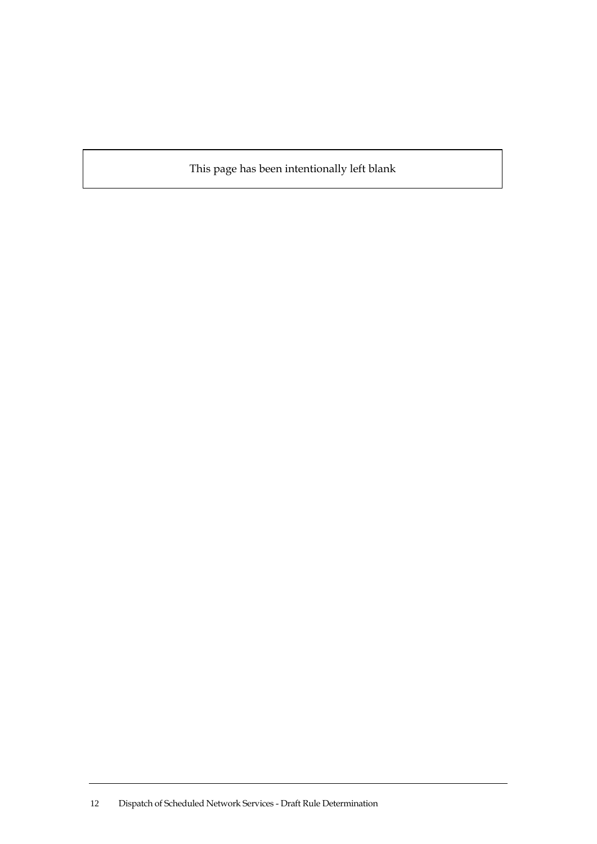This page has been intentionally left blank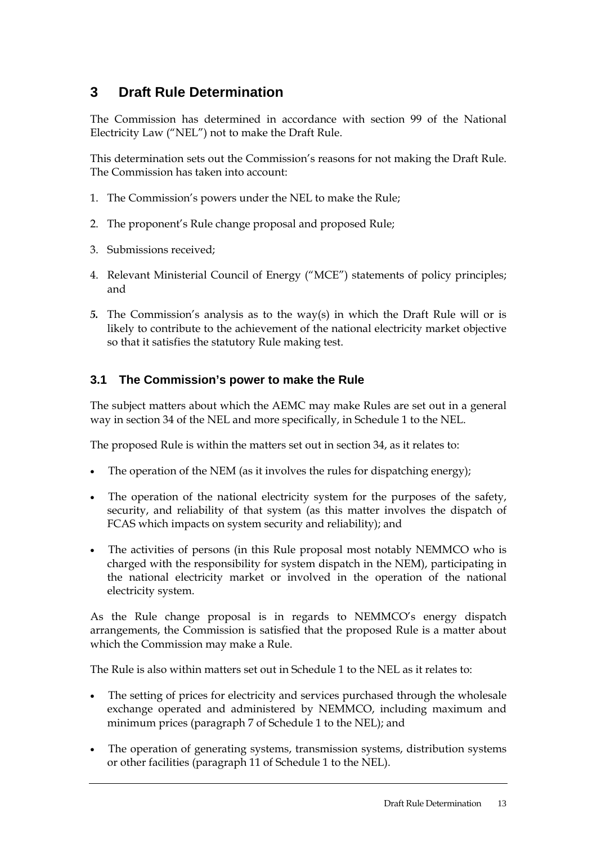# **3 Draft Rule Determination**

The Commission has determined in accordance with section 99 of the National Electricity Law ("NEL") not to make the Draft Rule.

This determination sets out the Commission's reasons for not making the Draft Rule. The Commission has taken into account:

- 1. The Commission's powers under the NEL to make the Rule;
- 2. The proponent's Rule change proposal and proposed Rule;
- 3. Submissions received;
- 4. Relevant Ministerial Council of Energy ("MCE") statements of policy principles; and
- *5.* The Commission's analysis as to the way(s) in which the Draft Rule will or is likely to contribute to the achievement of the national electricity market objective so that it satisfies the statutory Rule making test.

# **3.1 The Commission's power to make the Rule**

The subject matters about which the AEMC may make Rules are set out in a general way in section 34 of the NEL and more specifically, in Schedule 1 to the NEL.

The proposed Rule is within the matters set out in section 34, as it relates to:

- The operation of the NEM (as it involves the rules for dispatching energy);
- The operation of the national electricity system for the purposes of the safety, security, and reliability of that system (as this matter involves the dispatch of FCAS which impacts on system security and reliability); and
- The activities of persons (in this Rule proposal most notably NEMMCO who is charged with the responsibility for system dispatch in the NEM), participating in the national electricity market or involved in the operation of the national electricity system.

As the Rule change proposal is in regards to NEMMCO's energy dispatch arrangements, the Commission is satisfied that the proposed Rule is a matter about which the Commission may make a Rule.

The Rule is also within matters set out in Schedule 1 to the NEL as it relates to:

- The setting of prices for electricity and services purchased through the wholesale exchange operated and administered by NEMMCO, including maximum and minimum prices (paragraph 7 of Schedule 1 to the NEL); and
- The operation of generating systems, transmission systems, distribution systems or other facilities (paragraph 11 of Schedule 1 to the NEL).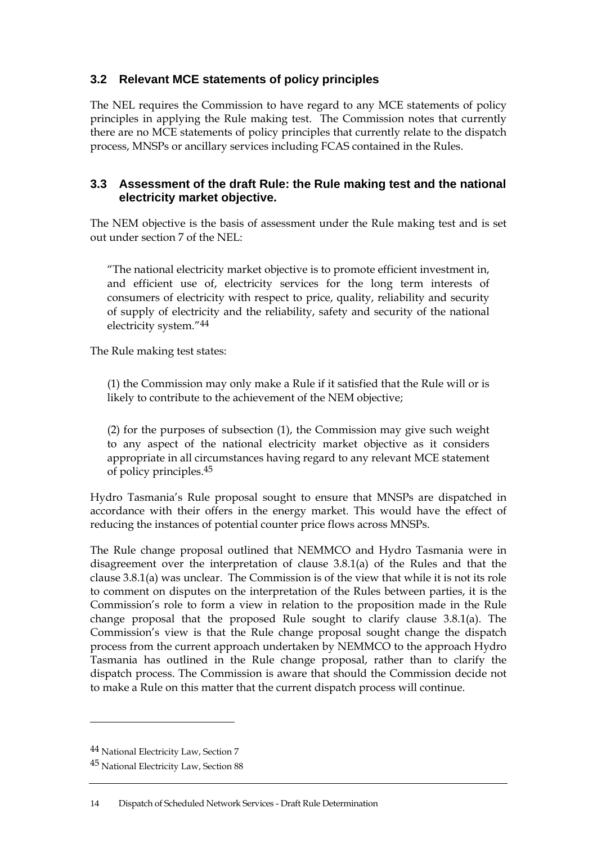### **3.2 Relevant MCE statements of policy principles**

The NEL requires the Commission to have regard to any MCE statements of policy principles in applying the Rule making test. The Commission notes that currently there are no MCE statements of policy principles that currently relate to the dispatch process, MNSPs or ancillary services including FCAS contained in the Rules.

### **3.3 Assessment of the draft Rule: the Rule making test and the national electricity market objective.**

The NEM objective is the basis of assessment under the Rule making test and is set out under section 7 of the NEL:

"The national electricity market objective is to promote efficient investment in, and efficient use of, electricity services for the long term interests of consumers of electricity with respect to price, quality, reliability and security of supply of electricity and the reliability, safety and security of the national electricity system."44

The Rule making test states:

(1) the Commission may only make a Rule if it satisfied that the Rule will or is likely to contribute to the achievement of the NEM objective;

(2) for the purposes of subsection (1), the Commission may give such weight to any aspect of the national electricity market objective as it considers appropriate in all circumstances having regard to any relevant MCE statement of policy principles.45

Hydro Tasmania's Rule proposal sought to ensure that MNSPs are dispatched in accordance with their offers in the energy market. This would have the effect of reducing the instances of potential counter price flows across MNSPs.

The Rule change proposal outlined that NEMMCO and Hydro Tasmania were in disagreement over the interpretation of clause 3.8.1(a) of the Rules and that the clause 3.8.1(a) was unclear. The Commission is of the view that while it is not its role to comment on disputes on the interpretation of the Rules between parties, it is the Commission's role to form a view in relation to the proposition made in the Rule change proposal that the proposed Rule sought to clarify clause 3.8.1(a). The Commission's view is that the Rule change proposal sought change the dispatch process from the current approach undertaken by NEMMCO to the approach Hydro Tasmania has outlined in the Rule change proposal, rather than to clarify the dispatch process. The Commission is aware that should the Commission decide not to make a Rule on this matter that the current dispatch process will continue.

<sup>44</sup> National Electricity Law, Section 7

<sup>45</sup> National Electricity Law, Section 88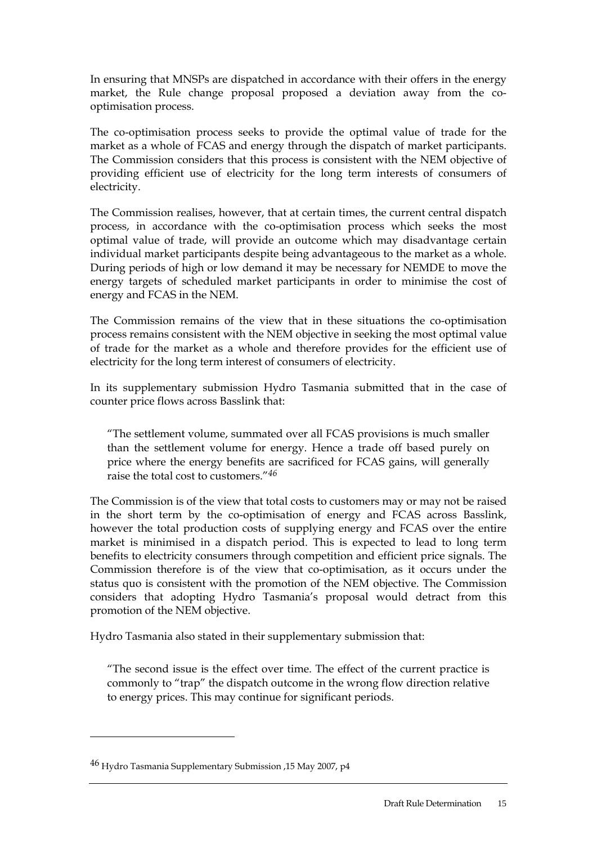In ensuring that MNSPs are dispatched in accordance with their offers in the energy market, the Rule change proposal proposed a deviation away from the cooptimisation process.

The co-optimisation process seeks to provide the optimal value of trade for the market as a whole of FCAS and energy through the dispatch of market participants. The Commission considers that this process is consistent with the NEM objective of providing efficient use of electricity for the long term interests of consumers of electricity.

The Commission realises, however, that at certain times, the current central dispatch process, in accordance with the co-optimisation process which seeks the most optimal value of trade, will provide an outcome which may disadvantage certain individual market participants despite being advantageous to the market as a whole. During periods of high or low demand it may be necessary for NEMDE to move the energy targets of scheduled market participants in order to minimise the cost of energy and FCAS in the NEM.

The Commission remains of the view that in these situations the co-optimisation process remains consistent with the NEM objective in seeking the most optimal value of trade for the market as a whole and therefore provides for the efficient use of electricity for the long term interest of consumers of electricity.

In its supplementary submission Hydro Tasmania submitted that in the case of counter price flows across Basslink that:

"The settlement volume, summated over all FCAS provisions is much smaller than the settlement volume for energy. Hence a trade off based purely on price where the energy benefits are sacrificed for FCAS gains, will generally raise the total cost to customers."*46*

The Commission is of the view that total costs to customers may or may not be raised in the short term by the co-optimisation of energy and FCAS across Basslink, however the total production costs of supplying energy and FCAS over the entire market is minimised in a dispatch period. This is expected to lead to long term benefits to electricity consumers through competition and efficient price signals. The Commission therefore is of the view that co-optimisation, as it occurs under the status quo is consistent with the promotion of the NEM objective. The Commission considers that adopting Hydro Tasmania's proposal would detract from this promotion of the NEM objective.

Hydro Tasmania also stated in their supplementary submission that:

"The second issue is the effect over time. The effect of the current practice is commonly to "trap" the dispatch outcome in the wrong flow direction relative to energy prices. This may continue for significant periods.

<sup>46</sup> Hydro Tasmania Supplementary Submission ,15 May 2007, p4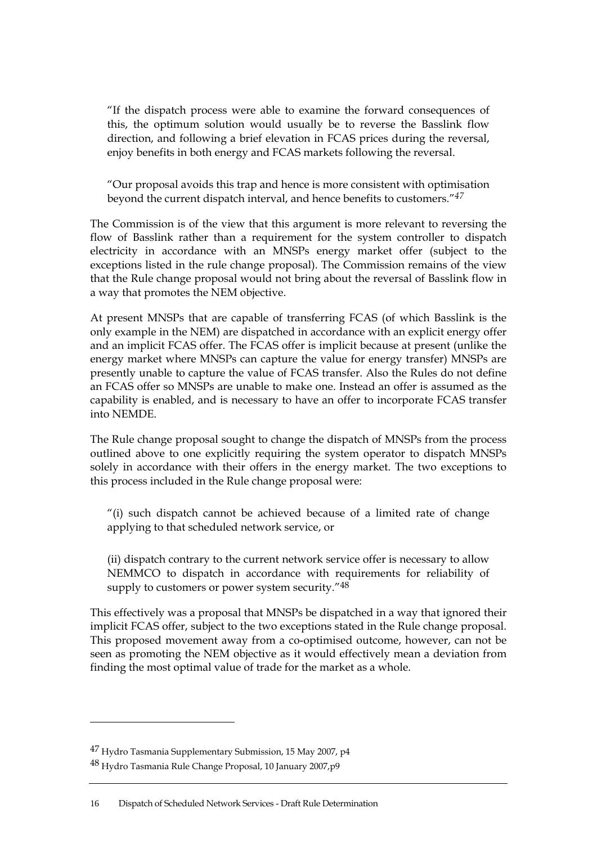"If the dispatch process were able to examine the forward consequences of this, the optimum solution would usually be to reverse the Basslink flow direction, and following a brief elevation in FCAS prices during the reversal, enjoy benefits in both energy and FCAS markets following the reversal.

"Our proposal avoids this trap and hence is more consistent with optimisation beyond the current dispatch interval, and hence benefits to customers."*47*

The Commission is of the view that this argument is more relevant to reversing the flow of Basslink rather than a requirement for the system controller to dispatch electricity in accordance with an MNSPs energy market offer (subject to the exceptions listed in the rule change proposal). The Commission remains of the view that the Rule change proposal would not bring about the reversal of Basslink flow in a way that promotes the NEM objective.

At present MNSPs that are capable of transferring FCAS (of which Basslink is the only example in the NEM) are dispatched in accordance with an explicit energy offer and an implicit FCAS offer. The FCAS offer is implicit because at present (unlike the energy market where MNSPs can capture the value for energy transfer) MNSPs are presently unable to capture the value of FCAS transfer. Also the Rules do not define an FCAS offer so MNSPs are unable to make one. Instead an offer is assumed as the capability is enabled, and is necessary to have an offer to incorporate FCAS transfer into NEMDE.

The Rule change proposal sought to change the dispatch of MNSPs from the process outlined above to one explicitly requiring the system operator to dispatch MNSPs solely in accordance with their offers in the energy market. The two exceptions to this process included in the Rule change proposal were:

"(i) such dispatch cannot be achieved because of a limited rate of change applying to that scheduled network service, or

(ii) dispatch contrary to the current network service offer is necessary to allow NEMMCO to dispatch in accordance with requirements for reliability of supply to customers or power system security."<sup>48</sup>

This effectively was a proposal that MNSPs be dispatched in a way that ignored their implicit FCAS offer, subject to the two exceptions stated in the Rule change proposal. This proposed movement away from a co-optimised outcome, however, can not be seen as promoting the NEM objective as it would effectively mean a deviation from finding the most optimal value of trade for the market as a whole.

<sup>47</sup> Hydro Tasmania Supplementary Submission, 15 May 2007, p4 48 Hydro Tasmania Rule Change Proposal, 10 January 2007,p9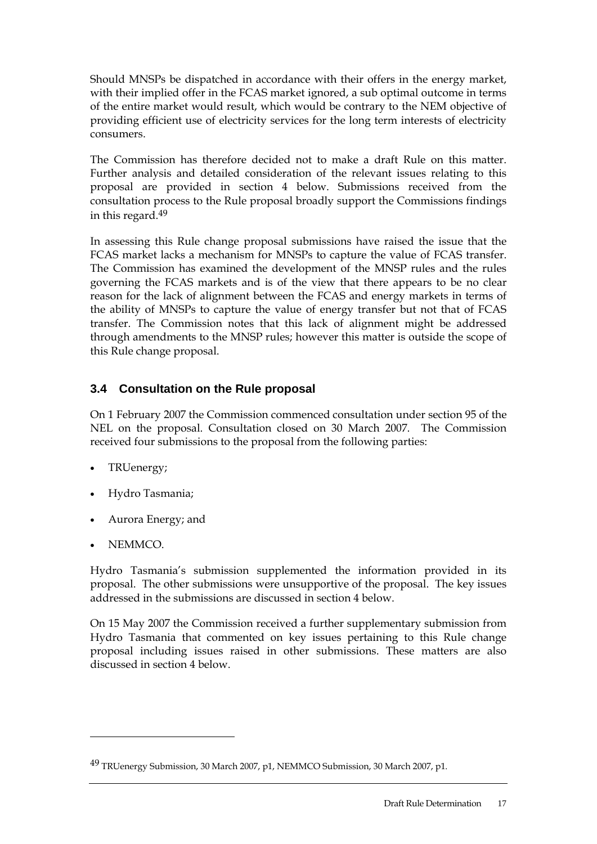Should MNSPs be dispatched in accordance with their offers in the energy market, with their implied offer in the FCAS market ignored, a sub optimal outcome in terms of the entire market would result, which would be contrary to the NEM objective of providing efficient use of electricity services for the long term interests of electricity consumers.

The Commission has therefore decided not to make a draft Rule on this matter. Further analysis and detailed consideration of the relevant issues relating to this proposal are provided in section 4 below. Submissions received from the consultation process to the Rule proposal broadly support the Commissions findings in this regard.49

In assessing this Rule change proposal submissions have raised the issue that the FCAS market lacks a mechanism for MNSPs to capture the value of FCAS transfer. The Commission has examined the development of the MNSP rules and the rules governing the FCAS markets and is of the view that there appears to be no clear reason for the lack of alignment between the FCAS and energy markets in terms of the ability of MNSPs to capture the value of energy transfer but not that of FCAS transfer. The Commission notes that this lack of alignment might be addressed through amendments to the MNSP rules; however this matter is outside the scope of this Rule change proposal.

# **3.4 Consultation on the Rule proposal**

On 1 February 2007 the Commission commenced consultation under section 95 of the NEL on the proposal. Consultation closed on 30 March 2007. The Commission received four submissions to the proposal from the following parties:

- TRUenergy;
- Hydro Tasmania;
- Aurora Energy; and
- NEMMCO.

 $\overline{a}$ 

Hydro Tasmania's submission supplemented the information provided in its proposal. The other submissions were unsupportive of the proposal. The key issues addressed in the submissions are discussed in section 4 below.

On 15 May 2007 the Commission received a further supplementary submission from Hydro Tasmania that commented on key issues pertaining to this Rule change proposal including issues raised in other submissions. These matters are also discussed in section 4 below.

<sup>49</sup> TRUenergy Submission, 30 March 2007, p1, NEMMCO Submission, 30 March 2007, p1.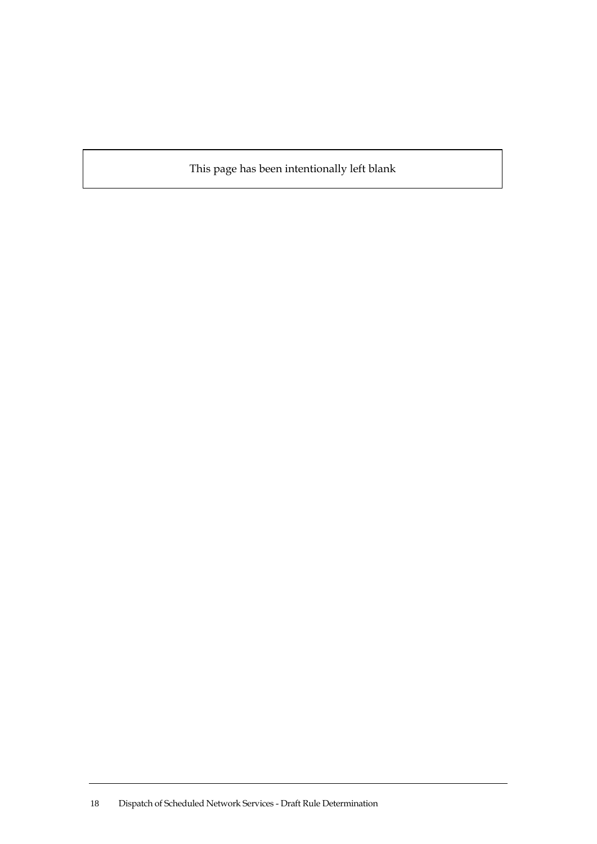This page has been intentionally left blank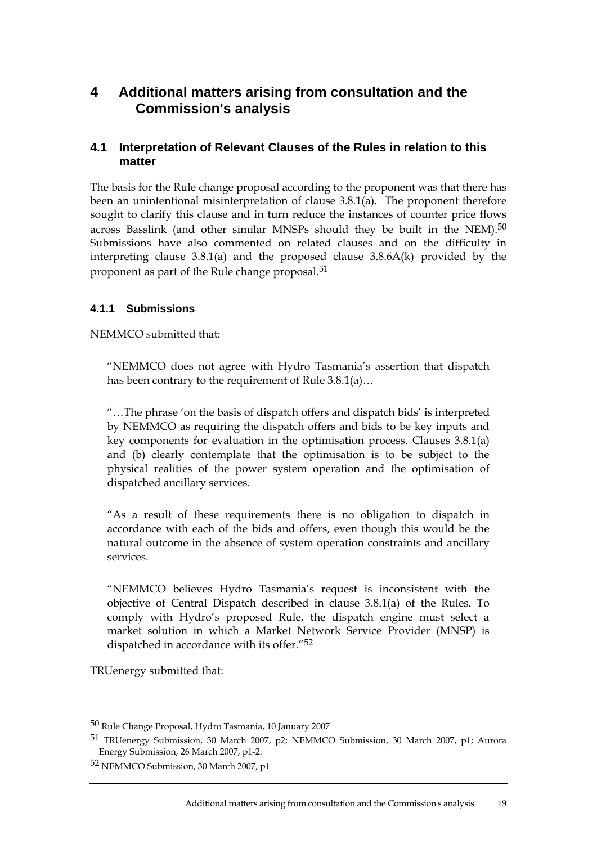# **4 Additional matters arising from consultation and the Commission's analysis**

#### **4.1 Interpretation of Relevant Clauses of the Rules in relation to this matter**

The basis for the Rule change proposal according to the proponent was that there has been an unintentional misinterpretation of clause 3.8.1(a). The proponent therefore sought to clarify this clause and in turn reduce the instances of counter price flows across Basslink (and other similar MNSPs should they be built in the NEM).<sup>50</sup> Submissions have also commented on related clauses and on the difficulty in interpreting clause 3.8.1(a) and the proposed clause 3.8.6A(k) provided by the proponent as part of the Rule change proposal.<sup>51</sup>

#### **4.1.1 Submissions**

NEMMCO submitted that:

"NEMMCO does not agree with Hydro Tasmania's assertion that dispatch has been contrary to the requirement of Rule 3.8.1(a)...

"…The phrase 'on the basis of dispatch offers and dispatch bids' is interpreted by NEMMCO as requiring the dispatch offers and bids to be key inputs and key components for evaluation in the optimisation process. Clauses 3.8.1(a) and (b) clearly contemplate that the optimisation is to be subject to the physical realities of the power system operation and the optimisation of dispatched ancillary services.

"As a result of these requirements there is no obligation to dispatch in accordance with each of the bids and offers, even though this would be the natural outcome in the absence of system operation constraints and ancillary services.

"NEMMCO believes Hydro Tasmania's request is inconsistent with the objective of Central Dispatch described in clause 3.8.1(a) of the Rules. To comply with Hydro's proposed Rule, the dispatch engine must select a market solution in which a Market Network Service Provider (MNSP) is dispatched in accordance with its offer."52

TRUenergy submitted that:

<sup>50</sup> Rule Change Proposal, Hydro Tasmania, 10 January 2007

<sup>51</sup> TRUenergy Submission, 30 March 2007, p2; NEMMCO Submission, 30 March 2007, p1; Aurora Energy Submission, 26 March 2007, p1-2.

<sup>52</sup> NEMMCO Submission, 30 March 2007, p1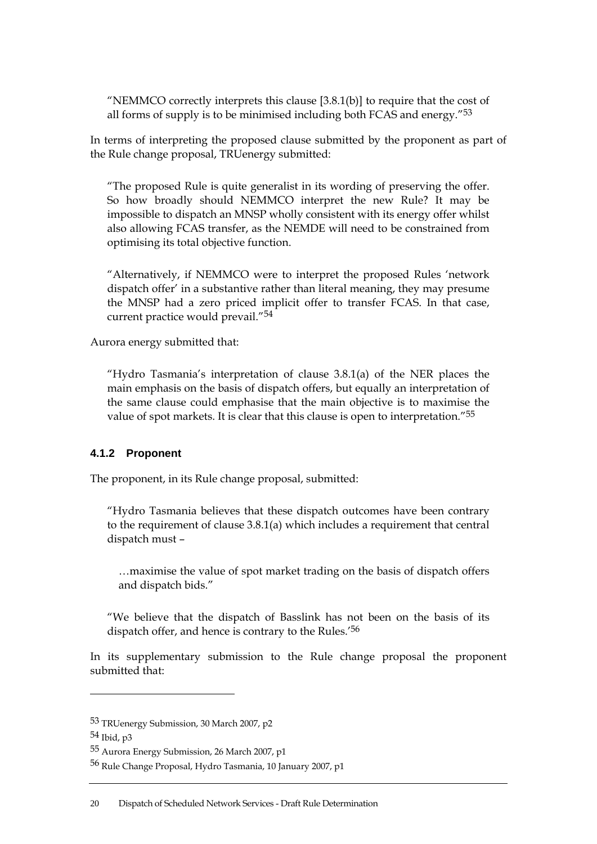"NEMMCO correctly interprets this clause  $[3.8.1(b)]$  to require that the cost of all forms of supply is to be minimised including both FCAS and energy."53

In terms of interpreting the proposed clause submitted by the proponent as part of the Rule change proposal, TRUenergy submitted:

"The proposed Rule is quite generalist in its wording of preserving the offer. So how broadly should NEMMCO interpret the new Rule? It may be impossible to dispatch an MNSP wholly consistent with its energy offer whilst also allowing FCAS transfer, as the NEMDE will need to be constrained from optimising its total objective function.

"Alternatively, if NEMMCO were to interpret the proposed Rules 'network dispatch offer' in a substantive rather than literal meaning, they may presume the MNSP had a zero priced implicit offer to transfer FCAS. In that case, current practice would prevail."54

Aurora energy submitted that:

"Hydro Tasmania's interpretation of clause 3.8.1(a) of the NER places the main emphasis on the basis of dispatch offers, but equally an interpretation of the same clause could emphasise that the main objective is to maximise the value of spot markets. It is clear that this clause is open to interpretation."55

#### **4.1.2 Proponent**

The proponent, in its Rule change proposal, submitted:

"Hydro Tasmania believes that these dispatch outcomes have been contrary to the requirement of clause 3.8.1(a) which includes a requirement that central dispatch must –

 …maximise the value of spot market trading on the basis of dispatch offers and dispatch bids."

"We believe that the dispatch of Basslink has not been on the basis of its dispatch offer, and hence is contrary to the Rules.'<sup>56</sup>

In its supplementary submission to the Rule change proposal the proponent submitted that:

<sup>53</sup> TRUenergy Submission, 30 March 2007, p2

<sup>54</sup> Ibid, p3

<sup>55</sup> Aurora Energy Submission, 26 March 2007, p1

<sup>56</sup> Rule Change Proposal, Hydro Tasmania, 10 January 2007, p1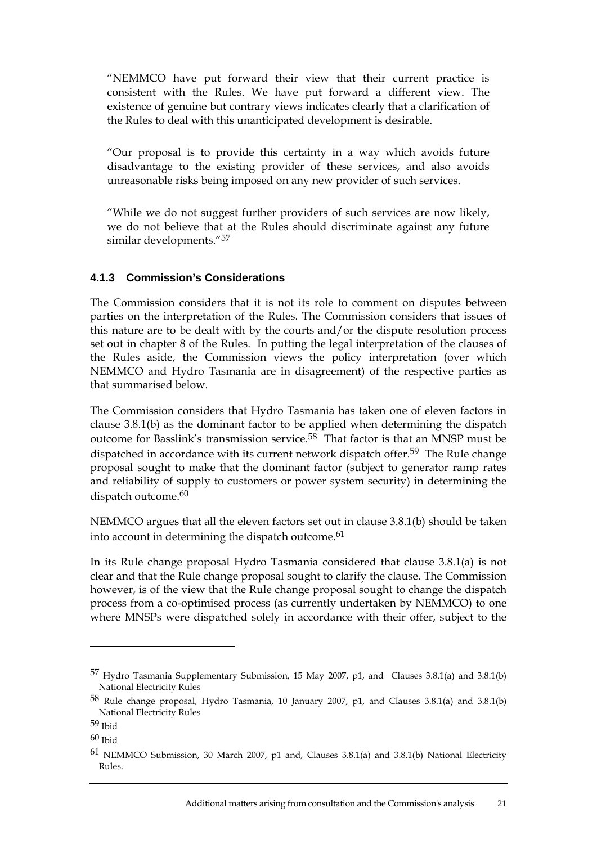"NEMMCO have put forward their view that their current practice is consistent with the Rules. We have put forward a different view. The existence of genuine but contrary views indicates clearly that a clarification of the Rules to deal with this unanticipated development is desirable.

"Our proposal is to provide this certainty in a way which avoids future disadvantage to the existing provider of these services, and also avoids unreasonable risks being imposed on any new provider of such services.

"While we do not suggest further providers of such services are now likely, we do not believe that at the Rules should discriminate against any future similar developments."57

#### **4.1.3 Commission's Considerations**

The Commission considers that it is not its role to comment on disputes between parties on the interpretation of the Rules. The Commission considers that issues of this nature are to be dealt with by the courts and/or the dispute resolution process set out in chapter 8 of the Rules. In putting the legal interpretation of the clauses of the Rules aside, the Commission views the policy interpretation (over which NEMMCO and Hydro Tasmania are in disagreement) of the respective parties as that summarised below.

The Commission considers that Hydro Tasmania has taken one of eleven factors in clause 3.8.1(b) as the dominant factor to be applied when determining the dispatch outcome for Basslink's transmission service.58 That factor is that an MNSP must be dispatched in accordance with its current network dispatch offer.<sup>59</sup> The Rule change proposal sought to make that the dominant factor (subject to generator ramp rates and reliability of supply to customers or power system security) in determining the dispatch outcome.<sup>60</sup>

NEMMCO argues that all the eleven factors set out in clause 3.8.1(b) should be taken into account in determining the dispatch outcome.<sup>61</sup>

In its Rule change proposal Hydro Tasmania considered that clause 3.8.1(a) is not clear and that the Rule change proposal sought to clarify the clause. The Commission however, is of the view that the Rule change proposal sought to change the dispatch process from a co-optimised process (as currently undertaken by NEMMCO) to one where MNSPs were dispatched solely in accordance with their offer, subject to the

<sup>57</sup> Hydro Tasmania Supplementary Submission, 15 May 2007, p1, and Clauses 3.8.1(a) and 3.8.1(b) National Electricity Rules

<sup>58</sup> Rule change proposal, Hydro Tasmania, 10 January 2007, p1, and Clauses 3.8.1(a) and 3.8.1(b) National Electricity Rules

<sup>59</sup> Ibid

 $60$  Ibid

<sup>61</sup> NEMMCO Submission, 30 March 2007, p1 and, Clauses 3.8.1(a) and 3.8.1(b) National Electricity Rules.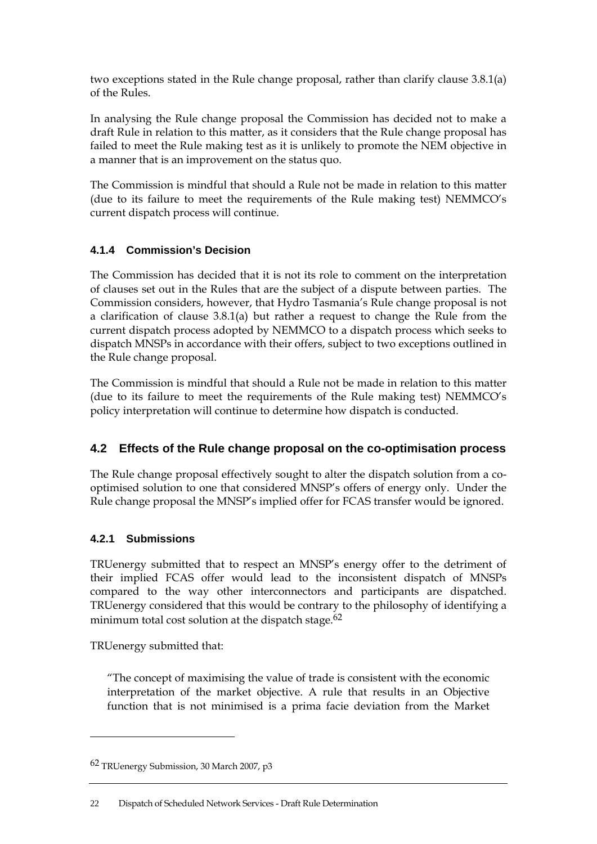two exceptions stated in the Rule change proposal, rather than clarify clause 3.8.1(a) of the Rules.

In analysing the Rule change proposal the Commission has decided not to make a draft Rule in relation to this matter, as it considers that the Rule change proposal has failed to meet the Rule making test as it is unlikely to promote the NEM objective in a manner that is an improvement on the status quo.

The Commission is mindful that should a Rule not be made in relation to this matter (due to its failure to meet the requirements of the Rule making test) NEMMCO's current dispatch process will continue.

### **4.1.4 Commission's Decision**

The Commission has decided that it is not its role to comment on the interpretation of clauses set out in the Rules that are the subject of a dispute between parties. The Commission considers, however, that Hydro Tasmania's Rule change proposal is not a clarification of clause 3.8.1(a) but rather a request to change the Rule from the current dispatch process adopted by NEMMCO to a dispatch process which seeks to dispatch MNSPs in accordance with their offers, subject to two exceptions outlined in the Rule change proposal.

The Commission is mindful that should a Rule not be made in relation to this matter (due to its failure to meet the requirements of the Rule making test) NEMMCO's policy interpretation will continue to determine how dispatch is conducted.

### **4.2 Effects of the Rule change proposal on the co-optimisation process**

The Rule change proposal effectively sought to alter the dispatch solution from a cooptimised solution to one that considered MNSP's offers of energy only. Under the Rule change proposal the MNSP's implied offer for FCAS transfer would be ignored.

### **4.2.1 Submissions**

TRUenergy submitted that to respect an MNSP's energy offer to the detriment of their implied FCAS offer would lead to the inconsistent dispatch of MNSPs compared to the way other interconnectors and participants are dispatched. TRUenergy considered that this would be contrary to the philosophy of identifying a minimum total cost solution at the dispatch stage.<sup>62</sup>

TRUenergy submitted that:

 $\overline{a}$ 

"The concept of maximising the value of trade is consistent with the economic interpretation of the market objective. A rule that results in an Objective function that is not minimised is a prima facie deviation from the Market

<sup>62</sup> TRUenergy Submission, 30 March 2007, p3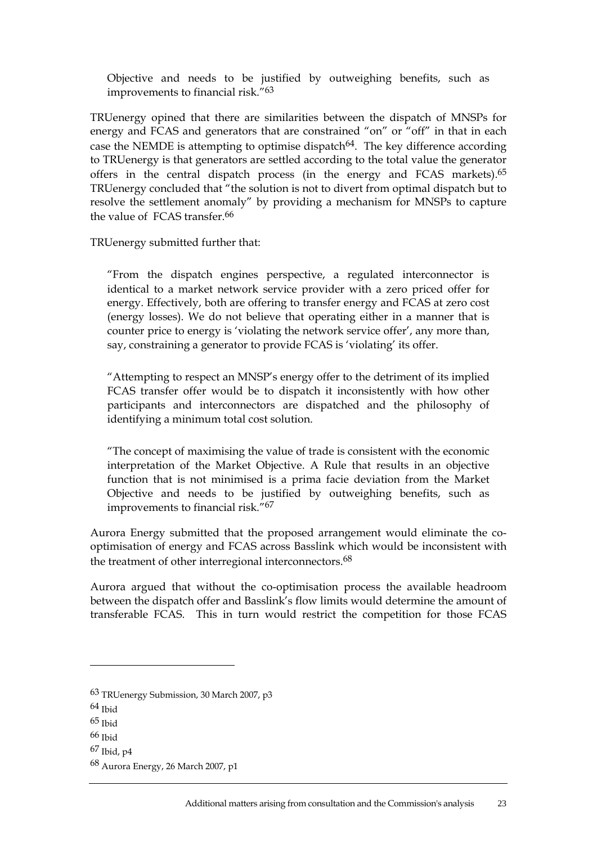Objective and needs to be justified by outweighing benefits, such as improvements to financial risk."63

TRUenergy opined that there are similarities between the dispatch of MNSPs for energy and FCAS and generators that are constrained "on" or "off" in that in each case the NEMDE is attempting to optimise dispatch64. The key difference according to TRUenergy is that generators are settled according to the total value the generator offers in the central dispatch process (in the energy and FCAS markets).65 TRUenergy concluded that "the solution is not to divert from optimal dispatch but to resolve the settlement anomaly" by providing a mechanism for MNSPs to capture the value of FCAS transfer.66

TRUenergy submitted further that:

"From the dispatch engines perspective, a regulated interconnector is identical to a market network service provider with a zero priced offer for energy. Effectively, both are offering to transfer energy and FCAS at zero cost (energy losses). We do not believe that operating either in a manner that is counter price to energy is 'violating the network service offer', any more than, say, constraining a generator to provide FCAS is 'violating' its offer.

"Attempting to respect an MNSP's energy offer to the detriment of its implied FCAS transfer offer would be to dispatch it inconsistently with how other participants and interconnectors are dispatched and the philosophy of identifying a minimum total cost solution.

"The concept of maximising the value of trade is consistent with the economic interpretation of the Market Objective. A Rule that results in an objective function that is not minimised is a prima facie deviation from the Market Objective and needs to be justified by outweighing benefits, such as improvements to financial risk."67

Aurora Energy submitted that the proposed arrangement would eliminate the cooptimisation of energy and FCAS across Basslink which would be inconsistent with the treatment of other interregional interconnectors.<sup>68</sup>

Aurora argued that without the co-optimisation process the available headroom between the dispatch offer and Basslink's flow limits would determine the amount of transferable FCAS. This in turn would restrict the competition for those FCAS

<sup>63</sup> TRUenergy Submission, 30 March 2007, p3

<sup>64</sup> Ibid

 $65$  Ibid

<sup>66</sup> Ibid

<sup>67</sup> Ibid, p4

<sup>68</sup> Aurora Energy, 26 March 2007, p1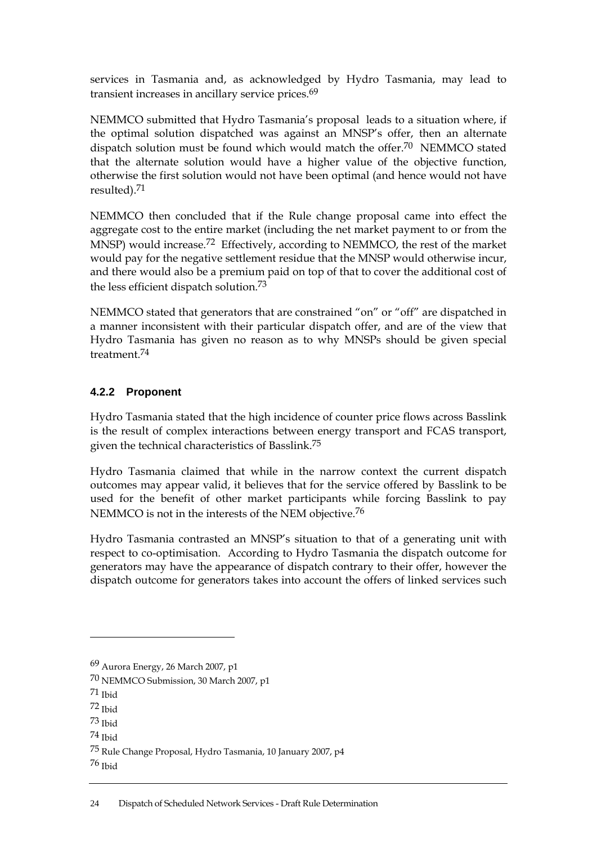services in Tasmania and, as acknowledged by Hydro Tasmania, may lead to transient increases in ancillary service prices.69

NEMMCO submitted that Hydro Tasmania's proposal leads to a situation where, if the optimal solution dispatched was against an MNSP's offer, then an alternate dispatch solution must be found which would match the offer.<sup>70</sup> NEMMCO stated that the alternate solution would have a higher value of the objective function, otherwise the first solution would not have been optimal (and hence would not have resulted).71

NEMMCO then concluded that if the Rule change proposal came into effect the aggregate cost to the entire market (including the net market payment to or from the MNSP) would increase.72 Effectively, according to NEMMCO, the rest of the market would pay for the negative settlement residue that the MNSP would otherwise incur, and there would also be a premium paid on top of that to cover the additional cost of the less efficient dispatch solution.73

NEMMCO stated that generators that are constrained "on" or "off" are dispatched in a manner inconsistent with their particular dispatch offer, and are of the view that Hydro Tasmania has given no reason as to why MNSPs should be given special treatment.74

### **4.2.2 Proponent**

Hydro Tasmania stated that the high incidence of counter price flows across Basslink is the result of complex interactions between energy transport and FCAS transport, given the technical characteristics of Basslink.75

Hydro Tasmania claimed that while in the narrow context the current dispatch outcomes may appear valid, it believes that for the service offered by Basslink to be used for the benefit of other market participants while forcing Basslink to pay NEMMCO is not in the interests of the NEM objective.76

Hydro Tasmania contrasted an MNSP's situation to that of a generating unit with respect to co-optimisation. According to Hydro Tasmania the dispatch outcome for generators may have the appearance of dispatch contrary to their offer, however the dispatch outcome for generators takes into account the offers of linked services such

<sup>69</sup> Aurora Energy, 26 March 2007, p1

<sup>70</sup> NEMMCO Submission, 30 March 2007, p1

<sup>71</sup> Ibid

<sup>72</sup> Ibid

<sup>73</sup> Ibid

<sup>74</sup> Ibid

<sup>75</sup> Rule Change Proposal, Hydro Tasmania, 10 January 2007, p4

<sup>76</sup> Ibid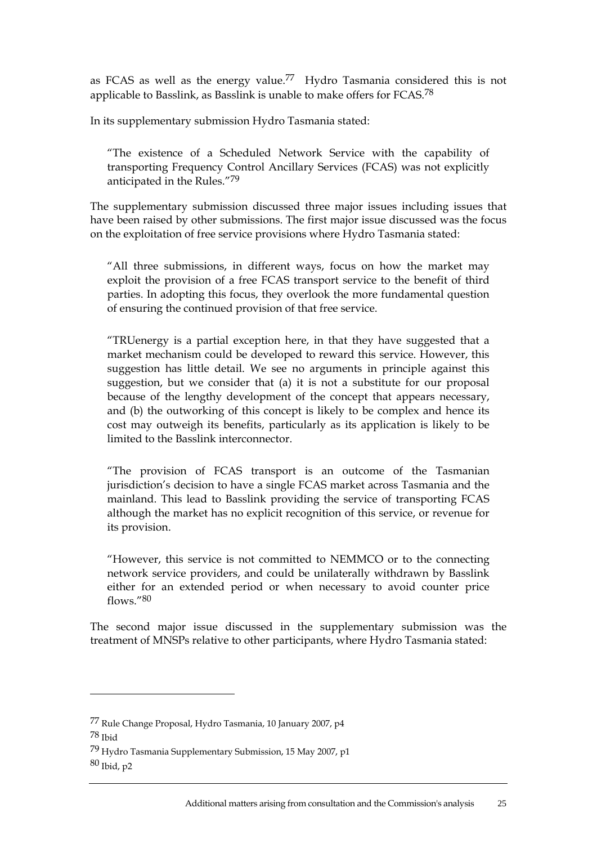as FCAS as well as the energy value.77 Hydro Tasmania considered this is not applicable to Basslink, as Basslink is unable to make offers for FCAS.78

In its supplementary submission Hydro Tasmania stated:

"The existence of a Scheduled Network Service with the capability of transporting Frequency Control Ancillary Services (FCAS) was not explicitly anticipated in the Rules."79

The supplementary submission discussed three major issues including issues that have been raised by other submissions. The first major issue discussed was the focus on the exploitation of free service provisions where Hydro Tasmania stated:

"All three submissions, in different ways, focus on how the market may exploit the provision of a free FCAS transport service to the benefit of third parties. In adopting this focus, they overlook the more fundamental question of ensuring the continued provision of that free service.

"TRUenergy is a partial exception here, in that they have suggested that a market mechanism could be developed to reward this service. However, this suggestion has little detail. We see no arguments in principle against this suggestion, but we consider that (a) it is not a substitute for our proposal because of the lengthy development of the concept that appears necessary, and (b) the outworking of this concept is likely to be complex and hence its cost may outweigh its benefits, particularly as its application is likely to be limited to the Basslink interconnector.

"The provision of FCAS transport is an outcome of the Tasmanian jurisdiction's decision to have a single FCAS market across Tasmania and the mainland. This lead to Basslink providing the service of transporting FCAS although the market has no explicit recognition of this service, or revenue for its provision.

"However, this service is not committed to NEMMCO or to the connecting network service providers, and could be unilaterally withdrawn by Basslink either for an extended period or when necessary to avoid counter price flows."80

The second major issue discussed in the supplementary submission was the treatment of MNSPs relative to other participants, where Hydro Tasmania stated:

<sup>77</sup> Rule Change Proposal, Hydro Tasmania, 10 January 2007, p4 78 Ibid

<sup>79</sup> Hydro Tasmania Supplementary Submission, 15 May 2007, p1 80 Ibid, p2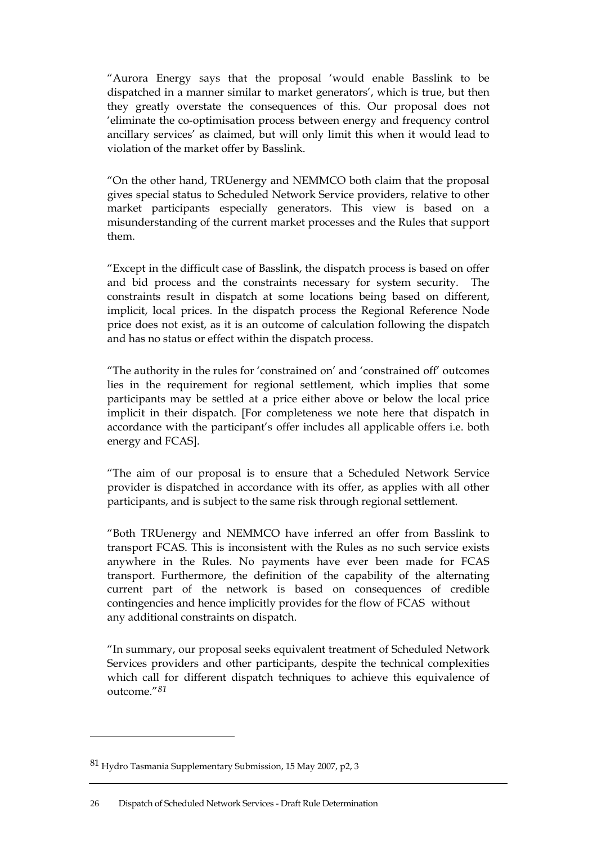"Aurora Energy says that the proposal 'would enable Basslink to be dispatched in a manner similar to market generators', which is true, but then they greatly overstate the consequences of this. Our proposal does not 'eliminate the co-optimisation process between energy and frequency control ancillary services' as claimed, but will only limit this when it would lead to violation of the market offer by Basslink.

"On the other hand, TRUenergy and NEMMCO both claim that the proposal gives special status to Scheduled Network Service providers, relative to other market participants especially generators. This view is based on a misunderstanding of the current market processes and the Rules that support them.

"Except in the difficult case of Basslink, the dispatch process is based on offer and bid process and the constraints necessary for system security. The constraints result in dispatch at some locations being based on different, implicit, local prices. In the dispatch process the Regional Reference Node price does not exist, as it is an outcome of calculation following the dispatch and has no status or effect within the dispatch process.

"The authority in the rules for 'constrained on' and 'constrained off' outcomes lies in the requirement for regional settlement, which implies that some participants may be settled at a price either above or below the local price implicit in their dispatch. [For completeness we note here that dispatch in accordance with the participant's offer includes all applicable offers i.e. both energy and FCAS].

"The aim of our proposal is to ensure that a Scheduled Network Service provider is dispatched in accordance with its offer, as applies with all other participants, and is subject to the same risk through regional settlement.

"Both TRUenergy and NEMMCO have inferred an offer from Basslink to transport FCAS. This is inconsistent with the Rules as no such service exists anywhere in the Rules. No payments have ever been made for FCAS transport. Furthermore, the definition of the capability of the alternating current part of the network is based on consequences of credible contingencies and hence implicitly provides for the flow of FCAS without any additional constraints on dispatch.

"In summary, our proposal seeks equivalent treatment of Scheduled Network Services providers and other participants, despite the technical complexities which call for different dispatch techniques to achieve this equivalence of outcome."*81*

<sup>81</sup> Hydro Tasmania Supplementary Submission, 15 May 2007, p2, 3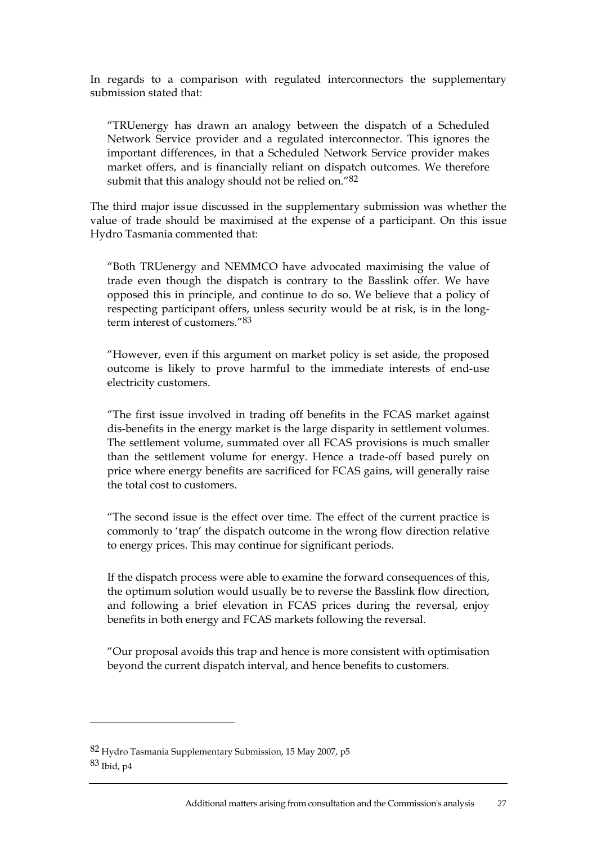In regards to a comparison with regulated interconnectors the supplementary submission stated that:

"TRUenergy has drawn an analogy between the dispatch of a Scheduled Network Service provider and a regulated interconnector. This ignores the important differences, in that a Scheduled Network Service provider makes market offers, and is financially reliant on dispatch outcomes. We therefore submit that this analogy should not be relied on."82

The third major issue discussed in the supplementary submission was whether the value of trade should be maximised at the expense of a participant. On this issue Hydro Tasmania commented that:

"Both TRUenergy and NEMMCO have advocated maximising the value of trade even though the dispatch is contrary to the Basslink offer. We have opposed this in principle, and continue to do so. We believe that a policy of respecting participant offers, unless security would be at risk, is in the longterm interest of customers."83

"However, even if this argument on market policy is set aside, the proposed outcome is likely to prove harmful to the immediate interests of end-use electricity customers.

"The first issue involved in trading off benefits in the FCAS market against dis-benefits in the energy market is the large disparity in settlement volumes. The settlement volume, summated over all FCAS provisions is much smaller than the settlement volume for energy. Hence a trade-off based purely on price where energy benefits are sacrificed for FCAS gains, will generally raise the total cost to customers.

"The second issue is the effect over time. The effect of the current practice is commonly to 'trap' the dispatch outcome in the wrong flow direction relative to energy prices. This may continue for significant periods.

If the dispatch process were able to examine the forward consequences of this, the optimum solution would usually be to reverse the Basslink flow direction, and following a brief elevation in FCAS prices during the reversal, enjoy benefits in both energy and FCAS markets following the reversal.

"Our proposal avoids this trap and hence is more consistent with optimisation beyond the current dispatch interval, and hence benefits to customers.

<sup>82</sup> Hydro Tasmania Supplementary Submission, 15 May 2007, p5 83 Ibid, p4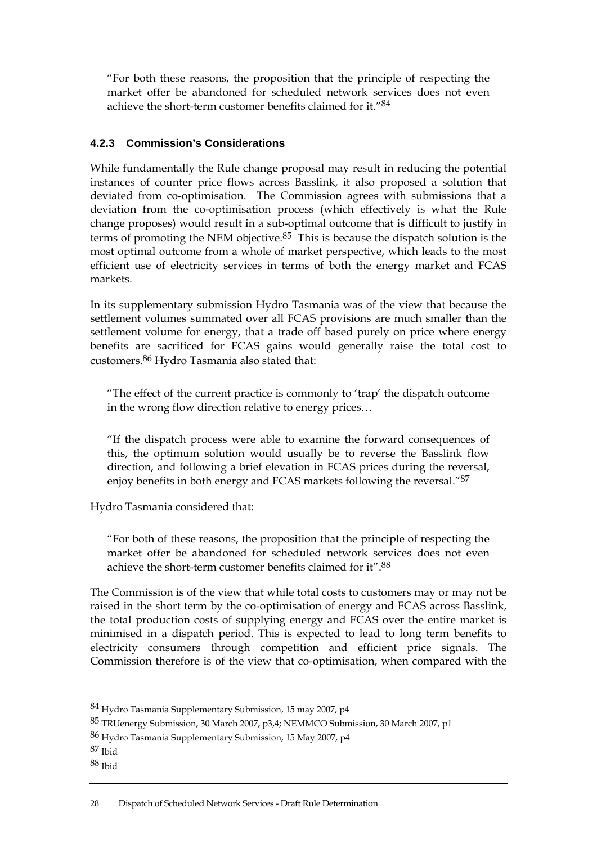"For both these reasons, the proposition that the principle of respecting the market offer be abandoned for scheduled network services does not even achieve the short-term customer benefits claimed for it."84

### **4.2.3 Commission's Considerations**

While fundamentally the Rule change proposal may result in reducing the potential instances of counter price flows across Basslink, it also proposed a solution that deviated from co-optimisation. The Commission agrees with submissions that a deviation from the co-optimisation process (which effectively is what the Rule change proposes) would result in a sub-optimal outcome that is difficult to justify in terms of promoting the NEM objective.<sup>85</sup> This is because the dispatch solution is the most optimal outcome from a whole of market perspective, which leads to the most efficient use of electricity services in terms of both the energy market and FCAS markets.

In its supplementary submission Hydro Tasmania was of the view that because the settlement volumes summated over all FCAS provisions are much smaller than the settlement volume for energy, that a trade off based purely on price where energy benefits are sacrificed for FCAS gains would generally raise the total cost to customers.86 Hydro Tasmania also stated that:

"The effect of the current practice is commonly to 'trap' the dispatch outcome in the wrong flow direction relative to energy prices…

"If the dispatch process were able to examine the forward consequences of this, the optimum solution would usually be to reverse the Basslink flow direction, and following a brief elevation in FCAS prices during the reversal, enjoy benefits in both energy and FCAS markets following the reversal."87

Hydro Tasmania considered that:

"For both of these reasons, the proposition that the principle of respecting the market offer be abandoned for scheduled network services does not even achieve the short-term customer benefits claimed for it".<sup>88</sup>

The Commission is of the view that while total costs to customers may or may not be raised in the short term by the co-optimisation of energy and FCAS across Basslink, the total production costs of supplying energy and FCAS over the entire market is minimised in a dispatch period. This is expected to lead to long term benefits to electricity consumers through competition and efficient price signals. The Commission therefore is of the view that co-optimisation, when compared with the

87 Ibid

 $\overline{a}$ 

88 Ibid

<sup>84</sup> Hydro Tasmania Supplementary Submission, 15 may 2007, p4

<sup>85</sup> TRUenergy Submission, 30 March 2007, p3,4; NEMMCO Submission, 30 March 2007, p1

<sup>86</sup> Hydro Tasmania Supplementary Submission, 15 May 2007, p4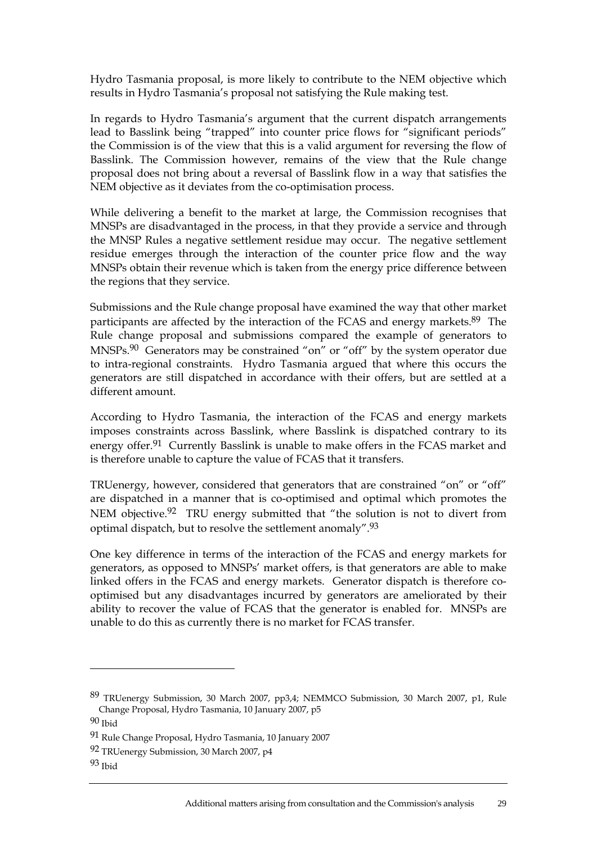Hydro Tasmania proposal, is more likely to contribute to the NEM objective which results in Hydro Tasmania's proposal not satisfying the Rule making test.

In regards to Hydro Tasmania's argument that the current dispatch arrangements lead to Basslink being "trapped" into counter price flows for "significant periods" the Commission is of the view that this is a valid argument for reversing the flow of Basslink. The Commission however, remains of the view that the Rule change proposal does not bring about a reversal of Basslink flow in a way that satisfies the NEM objective as it deviates from the co-optimisation process.

While delivering a benefit to the market at large, the Commission recognises that MNSPs are disadvantaged in the process, in that they provide a service and through the MNSP Rules a negative settlement residue may occur. The negative settlement residue emerges through the interaction of the counter price flow and the way MNSPs obtain their revenue which is taken from the energy price difference between the regions that they service.

Submissions and the Rule change proposal have examined the way that other market participants are affected by the interaction of the FCAS and energy markets.<sup>89</sup> The Rule change proposal and submissions compared the example of generators to MNSPs.90 Generators may be constrained "on" or "off" by the system operator due to intra-regional constraints. Hydro Tasmania argued that where this occurs the generators are still dispatched in accordance with their offers, but are settled at a different amount.

According to Hydro Tasmania, the interaction of the FCAS and energy markets imposes constraints across Basslink, where Basslink is dispatched contrary to its energy offer.<sup>91</sup> Currently Basslink is unable to make offers in the FCAS market and is therefore unable to capture the value of FCAS that it transfers.

TRUenergy, however, considered that generators that are constrained "on" or "off" are dispatched in a manner that is co-optimised and optimal which promotes the NEM objective.<sup>92</sup> TRU energy submitted that "the solution is not to divert from optimal dispatch, but to resolve the settlement anomaly".93

One key difference in terms of the interaction of the FCAS and energy markets for generators, as opposed to MNSPs' market offers, is that generators are able to make linked offers in the FCAS and energy markets. Generator dispatch is therefore cooptimised but any disadvantages incurred by generators are ameliorated by their ability to recover the value of FCAS that the generator is enabled for. MNSPs are unable to do this as currently there is no market for FCAS transfer.

<sup>89</sup> TRUenergy Submission, 30 March 2007, pp3,4; NEMMCO Submission, 30 March 2007, p1, Rule Change Proposal, Hydro Tasmania, 10 January 2007, p5

<sup>90</sup> Ibid

<sup>91</sup> Rule Change Proposal, Hydro Tasmania, 10 January 2007

<sup>92</sup> TRUenergy Submission, 30 March 2007, p4

<sup>93</sup> Ibid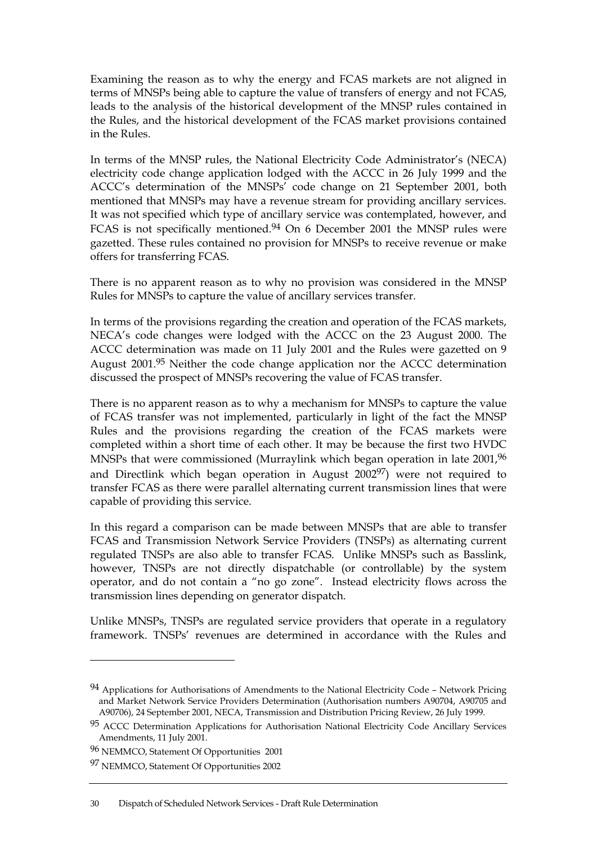Examining the reason as to why the energy and FCAS markets are not aligned in terms of MNSPs being able to capture the value of transfers of energy and not FCAS, leads to the analysis of the historical development of the MNSP rules contained in the Rules, and the historical development of the FCAS market provisions contained in the Rules.

In terms of the MNSP rules, the National Electricity Code Administrator's (NECA) electricity code change application lodged with the ACCC in 26 July 1999 and the ACCC's determination of the MNSPs' code change on 21 September 2001, both mentioned that MNSPs may have a revenue stream for providing ancillary services. It was not specified which type of ancillary service was contemplated, however, and FCAS is not specifically mentioned.<sup>94</sup> On 6 December 2001 the MNSP rules were gazetted. These rules contained no provision for MNSPs to receive revenue or make offers for transferring FCAS.

There is no apparent reason as to why no provision was considered in the MNSP Rules for MNSPs to capture the value of ancillary services transfer.

In terms of the provisions regarding the creation and operation of the FCAS markets, NECA's code changes were lodged with the ACCC on the 23 August 2000. The ACCC determination was made on 11 July 2001 and the Rules were gazetted on 9 August 2001.95 Neither the code change application nor the ACCC determination discussed the prospect of MNSPs recovering the value of FCAS transfer.

There is no apparent reason as to why a mechanism for MNSPs to capture the value of FCAS transfer was not implemented, particularly in light of the fact the MNSP Rules and the provisions regarding the creation of the FCAS markets were completed within a short time of each other. It may be because the first two HVDC MNSPs that were commissioned (Murraylink which began operation in late 2001, 96 and Directlink which began operation in August 200297) were not required to transfer FCAS as there were parallel alternating current transmission lines that were capable of providing this service.

In this regard a comparison can be made between MNSPs that are able to transfer FCAS and Transmission Network Service Providers (TNSPs) as alternating current regulated TNSPs are also able to transfer FCAS. Unlike MNSPs such as Basslink, however, TNSPs are not directly dispatchable (or controllable) by the system operator, and do not contain a "no go zone". Instead electricity flows across the transmission lines depending on generator dispatch.

Unlike MNSPs, TNSPs are regulated service providers that operate in a regulatory framework. TNSPs' revenues are determined in accordance with the Rules and

<sup>94</sup> Applications for Authorisations of Amendments to the National Electricity Code - Network Pricing and Market Network Service Providers Determination (Authorisation numbers A90704, A90705 and A90706), 24 September 2001, NECA, Transmission and Distribution Pricing Review, 26 July 1999.

<sup>95</sup> ACCC Determination Applications for Authorisation National Electricity Code Ancillary Services Amendments, 11 July 2001.

<sup>96</sup> NEMMCO, Statement Of Opportunities 2001

<sup>97</sup> NEMMCO, Statement Of Opportunities 2002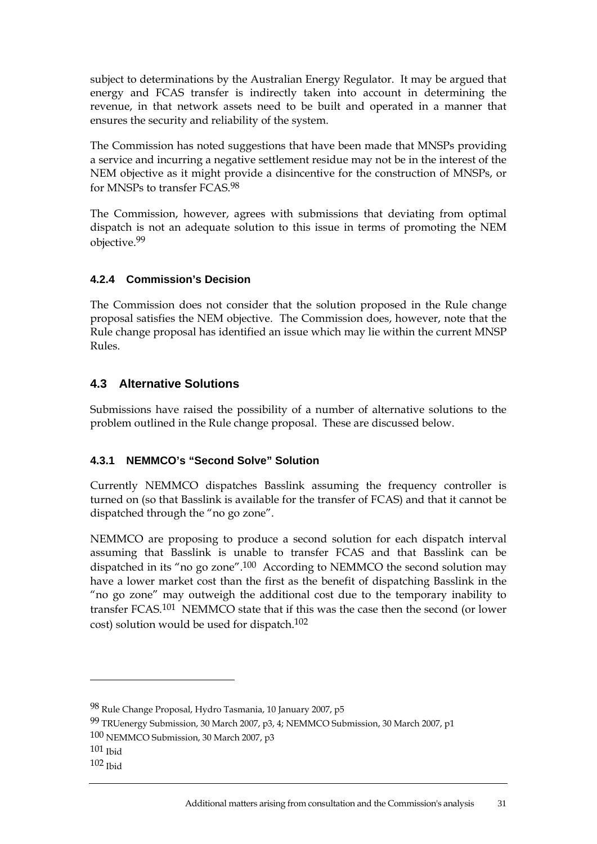subject to determinations by the Australian Energy Regulator. It may be argued that energy and FCAS transfer is indirectly taken into account in determining the revenue, in that network assets need to be built and operated in a manner that ensures the security and reliability of the system.

The Commission has noted suggestions that have been made that MNSPs providing a service and incurring a negative settlement residue may not be in the interest of the NEM objective as it might provide a disincentive for the construction of MNSPs, or for MNSPs to transfer FCAS.98

The Commission, however, agrees with submissions that deviating from optimal dispatch is not an adequate solution to this issue in terms of promoting the NEM objective.99

### **4.2.4 Commission's Decision**

The Commission does not consider that the solution proposed in the Rule change proposal satisfies the NEM objective. The Commission does, however, note that the Rule change proposal has identified an issue which may lie within the current MNSP Rules.

### **4.3 Alternative Solutions**

Submissions have raised the possibility of a number of alternative solutions to the problem outlined in the Rule change proposal. These are discussed below.

### **4.3.1 NEMMCO's "Second Solve" Solution**

Currently NEMMCO dispatches Basslink assuming the frequency controller is turned on (so that Basslink is available for the transfer of FCAS) and that it cannot be dispatched through the "no go zone".

NEMMCO are proposing to produce a second solution for each dispatch interval assuming that Basslink is unable to transfer FCAS and that Basslink can be dispatched in its "no go zone".100 According to NEMMCO the second solution may have a lower market cost than the first as the benefit of dispatching Basslink in the "no go zone" may outweigh the additional cost due to the temporary inability to transfer FCAS.101 NEMMCO state that if this was the case then the second (or lower cost) solution would be used for dispatch.102

<sup>98</sup> Rule Change Proposal, Hydro Tasmania, 10 January 2007, p5

<sup>99</sup> TRUenergy Submission, 30 March 2007, p3, 4; NEMMCO Submission, 30 March 2007, p1

<sup>100</sup> NEMMCO Submission, 30 March 2007, p3

<sup>101</sup> Ibid

 $102$  Ibid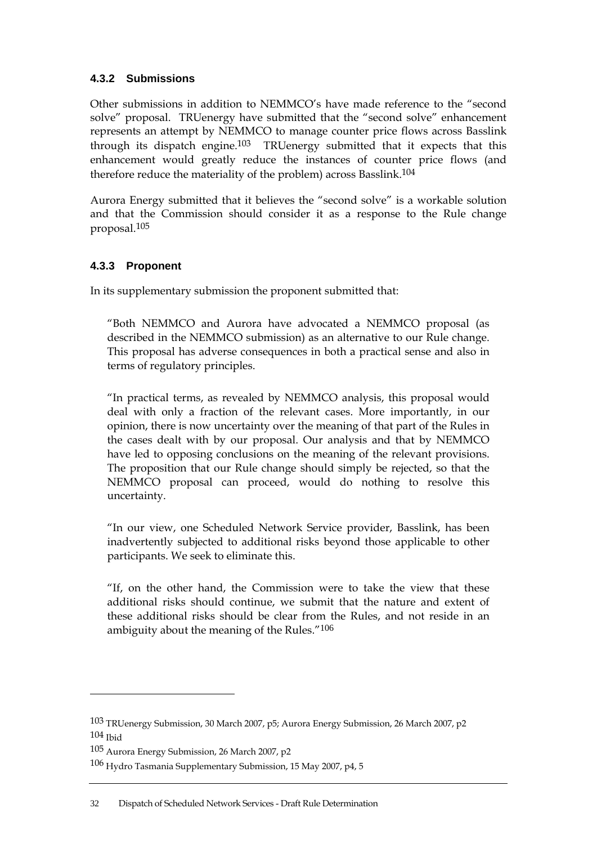#### **4.3.2 Submissions**

Other submissions in addition to NEMMCO's have made reference to the "second solve" proposal. TRUenergy have submitted that the "second solve" enhancement represents an attempt by NEMMCO to manage counter price flows across Basslink through its dispatch engine.<sup>103</sup> TRUenergy submitted that it expects that this enhancement would greatly reduce the instances of counter price flows (and therefore reduce the materiality of the problem) across Basslink.104

Aurora Energy submitted that it believes the "second solve" is a workable solution and that the Commission should consider it as a response to the Rule change proposal.105

### **4.3.3 Proponent**

In its supplementary submission the proponent submitted that:

"Both NEMMCO and Aurora have advocated a NEMMCO proposal (as described in the NEMMCO submission) as an alternative to our Rule change. This proposal has adverse consequences in both a practical sense and also in terms of regulatory principles.

"In practical terms, as revealed by NEMMCO analysis, this proposal would deal with only a fraction of the relevant cases. More importantly, in our opinion, there is now uncertainty over the meaning of that part of the Rules in the cases dealt with by our proposal. Our analysis and that by NEMMCO have led to opposing conclusions on the meaning of the relevant provisions. The proposition that our Rule change should simply be rejected, so that the NEMMCO proposal can proceed, would do nothing to resolve this uncertainty.

"In our view, one Scheduled Network Service provider, Basslink, has been inadvertently subjected to additional risks beyond those applicable to other participants. We seek to eliminate this.

"If, on the other hand, the Commission were to take the view that these additional risks should continue, we submit that the nature and extent of these additional risks should be clear from the Rules, and not reside in an ambiguity about the meaning of the Rules."106

<sup>103</sup> TRUenergy Submission, 30 March 2007, p5; Aurora Energy Submission, 26 March 2007, p2 104 Ibid

<sup>105</sup> Aurora Energy Submission, 26 March 2007, p2

<sup>106</sup> Hydro Tasmania Supplementary Submission, 15 May 2007, p4, 5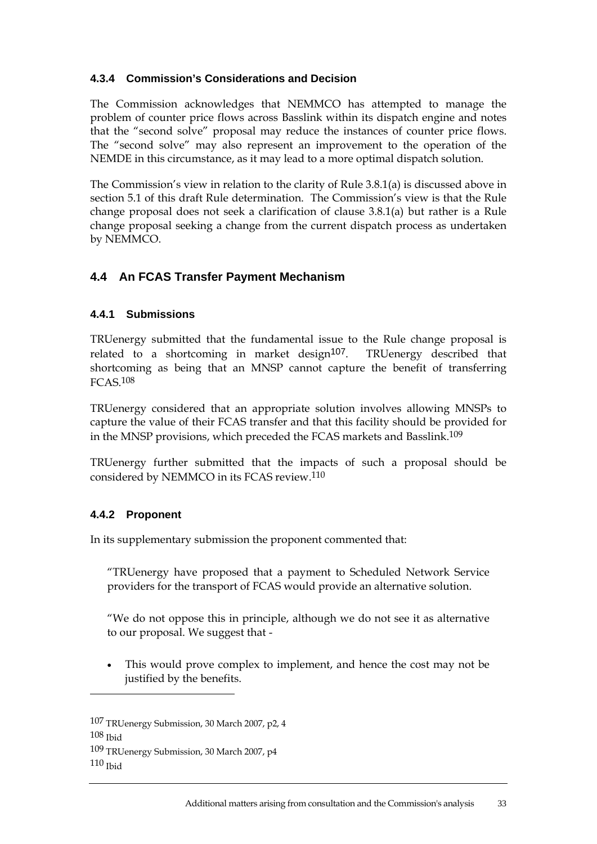#### **4.3.4 Commission's Considerations and Decision**

The Commission acknowledges that NEMMCO has attempted to manage the problem of counter price flows across Basslink within its dispatch engine and notes that the "second solve" proposal may reduce the instances of counter price flows. The "second solve" may also represent an improvement to the operation of the NEMDE in this circumstance, as it may lead to a more optimal dispatch solution.

The Commission's view in relation to the clarity of Rule 3.8.1(a) is discussed above in section 5.1 of this draft Rule determination. The Commission's view is that the Rule change proposal does not seek a clarification of clause 3.8.1(a) but rather is a Rule change proposal seeking a change from the current dispatch process as undertaken by NEMMCO.

# **4.4 An FCAS Transfer Payment Mechanism**

### **4.4.1 Submissions**

TRUenergy submitted that the fundamental issue to the Rule change proposal is related to a shortcoming in market design<sup>107</sup>. TRUenergy described that shortcoming as being that an MNSP cannot capture the benefit of transferring  $FCAS$ <sup>108</sup>

TRUenergy considered that an appropriate solution involves allowing MNSPs to capture the value of their FCAS transfer and that this facility should be provided for in the MNSP provisions, which preceded the FCAS markets and Basslink.109

TRUenergy further submitted that the impacts of such a proposal should be considered by NEMMCO in its FCAS review.110

### **4.4.2 Proponent**

In its supplementary submission the proponent commented that:

"TRUenergy have proposed that a payment to Scheduled Network Service providers for the transport of FCAS would provide an alternative solution.

"We do not oppose this in principle, although we do not see it as alternative to our proposal. We suggest that -

• This would prove complex to implement, and hence the cost may not be justified by the benefits.

```
110 Ibid
```
<sup>107</sup> TRUenergy Submission, 30 March 2007, p2, 4  $108$  Ibid

<sup>109</sup> TRUenergy Submission, 30 March 2007, p4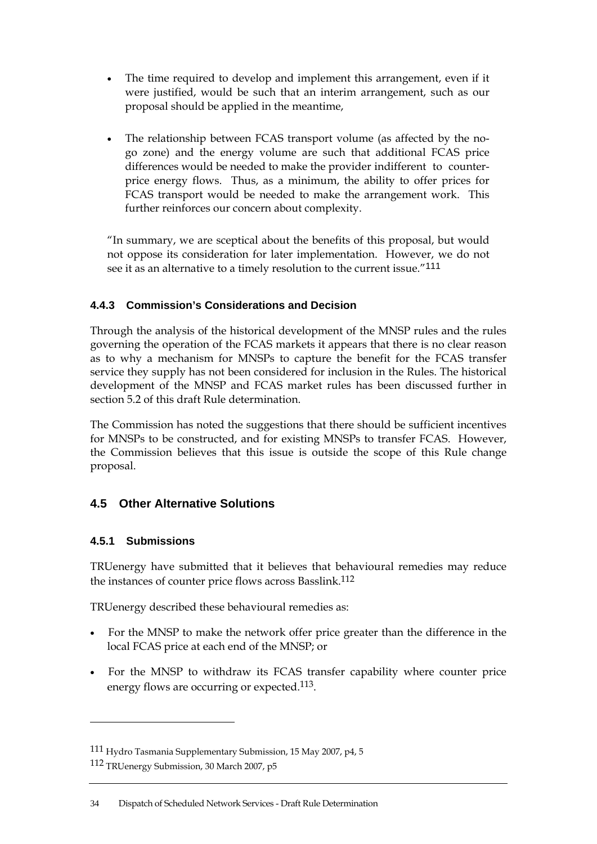- The time required to develop and implement this arrangement, even if it were justified, would be such that an interim arrangement, such as our proposal should be applied in the meantime,
- The relationship between FCAS transport volume (as affected by the nogo zone) and the energy volume are such that additional FCAS price differences would be needed to make the provider indifferent to counterprice energy flows. Thus, as a minimum, the ability to offer prices for FCAS transport would be needed to make the arrangement work. This further reinforces our concern about complexity.

"In summary, we are sceptical about the benefits of this proposal, but would not oppose its consideration for later implementation. However, we do not see it as an alternative to a timely resolution to the current issue."<sup>111</sup>

### **4.4.3 Commission's Considerations and Decision**

Through the analysis of the historical development of the MNSP rules and the rules governing the operation of the FCAS markets it appears that there is no clear reason as to why a mechanism for MNSPs to capture the benefit for the FCAS transfer service they supply has not been considered for inclusion in the Rules. The historical development of the MNSP and FCAS market rules has been discussed further in section 5.2 of this draft Rule determination.

The Commission has noted the suggestions that there should be sufficient incentives for MNSPs to be constructed, and for existing MNSPs to transfer FCAS. However, the Commission believes that this issue is outside the scope of this Rule change proposal.

### **4.5 Other Alternative Solutions**

### **4.5.1 Submissions**

 $\overline{a}$ 

TRUenergy have submitted that it believes that behavioural remedies may reduce the instances of counter price flows across Basslink.<sup>112</sup>

TRUenergy described these behavioural remedies as:

- For the MNSP to make the network offer price greater than the difference in the local FCAS price at each end of the MNSP; or
- For the MNSP to withdraw its FCAS transfer capability where counter price energy flows are occurring or expected.113.

<sup>111</sup> Hydro Tasmania Supplementary Submission, 15 May 2007, p4, 5

<sup>112</sup> TRUenergy Submission, 30 March 2007, p5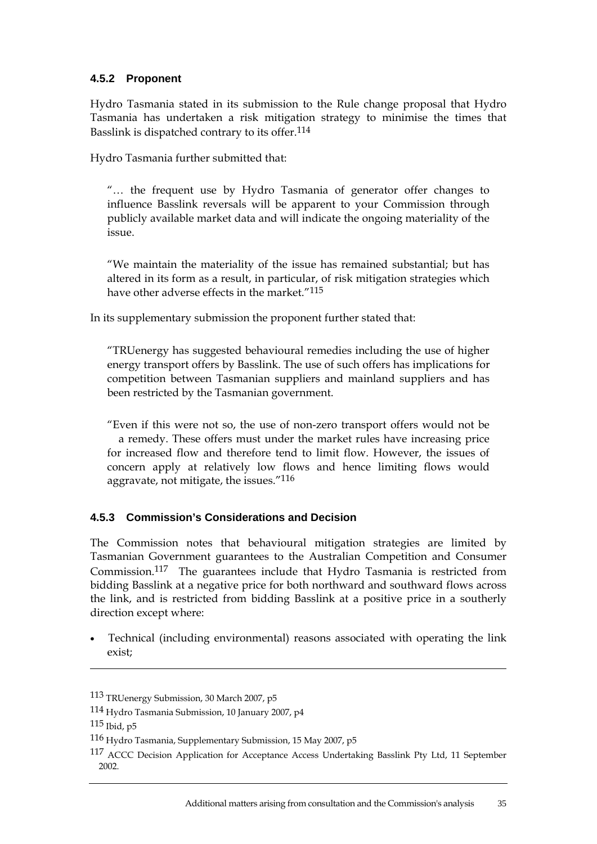#### **4.5.2 Proponent**

Hydro Tasmania stated in its submission to the Rule change proposal that Hydro Tasmania has undertaken a risk mitigation strategy to minimise the times that Basslink is dispatched contrary to its offer.114

Hydro Tasmania further submitted that:

"… the frequent use by Hydro Tasmania of generator offer changes to influence Basslink reversals will be apparent to your Commission through publicly available market data and will indicate the ongoing materiality of the issue.

"We maintain the materiality of the issue has remained substantial; but has altered in its form as a result, in particular, of risk mitigation strategies which have other adverse effects in the market."115

In its supplementary submission the proponent further stated that:

"TRUenergy has suggested behavioural remedies including the use of higher energy transport offers by Basslink. The use of such offers has implications for competition between Tasmanian suppliers and mainland suppliers and has been restricted by the Tasmanian government.

"Even if this were not so, the use of non-zero transport offers would not be a remedy. These offers must under the market rules have increasing price for increased flow and therefore tend to limit flow. However, the issues of concern apply at relatively low flows and hence limiting flows would aggravate, not mitigate, the issues."<sup>116</sup>

### **4.5.3 Commission's Considerations and Decision**

The Commission notes that behavioural mitigation strategies are limited by Tasmanian Government guarantees to the Australian Competition and Consumer Commission.117 The guarantees include that Hydro Tasmania is restricted from bidding Basslink at a negative price for both northward and southward flows across the link, and is restricted from bidding Basslink at a positive price in a southerly direction except where:

• Technical (including environmental) reasons associated with operating the link exist;

<sup>113</sup> TRUenergy Submission, 30 March 2007, p5

<sup>114</sup> Hydro Tasmania Submission, 10 January 2007, p4

<sup>115</sup> Ibid, p5

<sup>116</sup> Hydro Tasmania, Supplementary Submission, 15 May 2007, p5

<sup>117</sup> ACCC Decision Application for Acceptance Access Undertaking Basslink Pty Ltd, 11 September 2002.